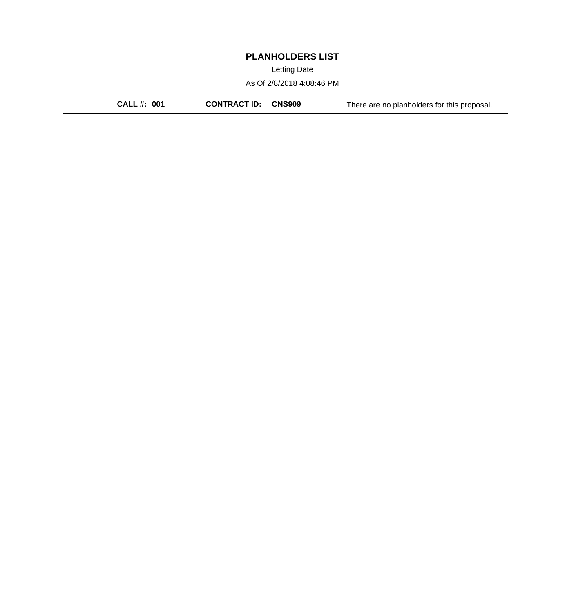Letting Date

As Of 2/8/2018 4:08:46 PM

**CALL #: 001 CONTRACT ID: CNS909** There are no planholders for this proposal.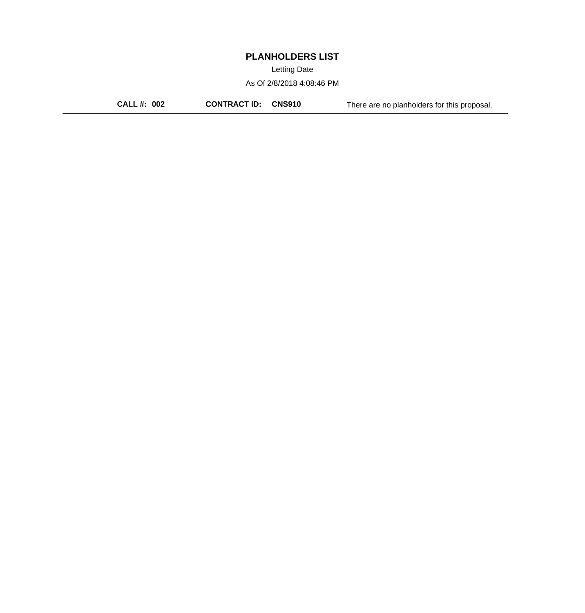Letting Date

As Of 2/8/2018 4:08:46 PM

**CALL #: 002 CONTRACT ID: CNS910** There are no planholders for this proposal.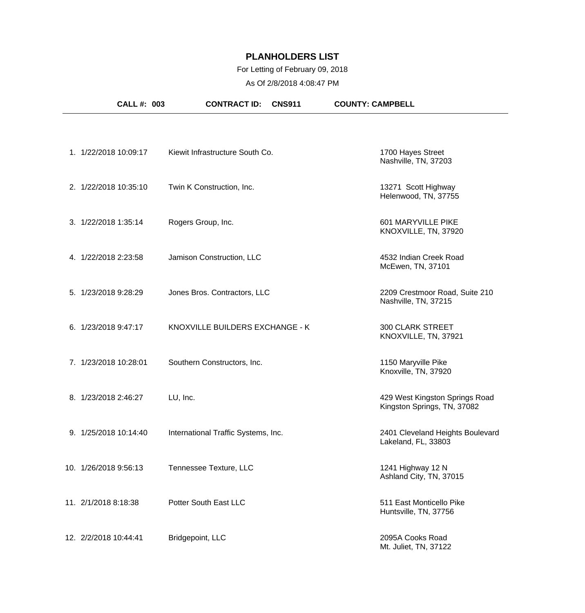### For Letting of February 09, 2018

| CALL #: 003           | <b>CONTRACT ID:</b><br><b>CNS911</b> | <b>COUNTY: CAMPBELL</b>                                       |
|-----------------------|--------------------------------------|---------------------------------------------------------------|
|                       |                                      |                                                               |
| 1. 1/22/2018 10:09:17 | Kiewit Infrastructure South Co.      | 1700 Hayes Street<br>Nashville, TN, 37203                     |
| 2. 1/22/2018 10:35:10 | Twin K Construction, Inc.            | 13271 Scott Highway<br>Helenwood, TN, 37755                   |
| 3. 1/22/2018 1:35:14  | Rogers Group, Inc.                   | 601 MARYVILLE PIKE<br>KNOXVILLE, TN, 37920                    |
| 4. 1/22/2018 2:23:58  | Jamison Construction, LLC            | 4532 Indian Creek Road<br>McEwen, TN, 37101                   |
| 5. 1/23/2018 9:28:29  | Jones Bros. Contractors, LLC         | 2209 Crestmoor Road, Suite 210<br>Nashville, TN, 37215        |
| 6. 1/23/2018 9:47:17  | KNOXVILLE BUILDERS EXCHANGE - K      | <b>300 CLARK STREET</b><br>KNOXVILLE, TN, 37921               |
| 7. 1/23/2018 10:28:01 | Southern Constructors, Inc.          | 1150 Maryville Pike<br>Knoxville, TN, 37920                   |
| 8. 1/23/2018 2:46:27  | LU, Inc.                             | 429 West Kingston Springs Road<br>Kingston Springs, TN, 37082 |
| 9. 1/25/2018 10:14:40 | International Traffic Systems, Inc.  | 2401 Cleveland Heights Boulevard<br>Lakeland, FL, 33803       |
| 10. 1/26/2018 9:56:13 | Tennessee Texture, LLC               | 1241 Highway 12 N<br>Ashland City, TN, 37015                  |
| 11. 2/1/2018 8:18:38  | Potter South East LLC                | 511 East Monticello Pike<br>Huntsville, TN, 37756             |
| 12. 2/2/2018 10:44:41 | Bridgepoint, LLC                     | 2095A Cooks Road<br>Mt. Juliet, TN, 37122                     |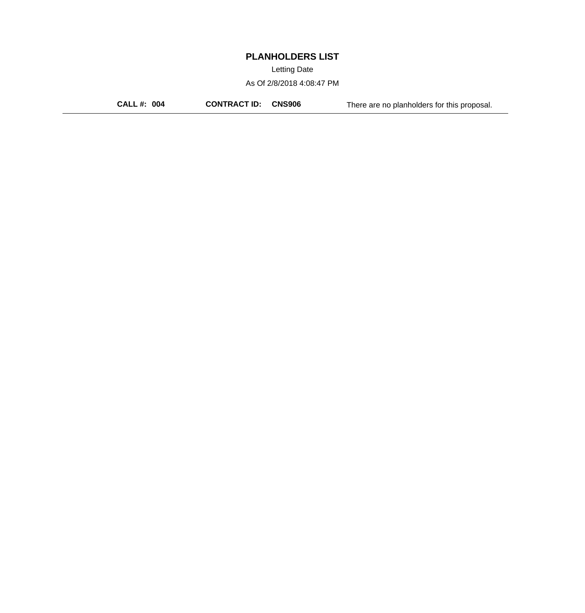Letting Date

As Of 2/8/2018 4:08:47 PM

**CALL #: 004 CONTRACT ID: CNS906** There are no planholders for this proposal.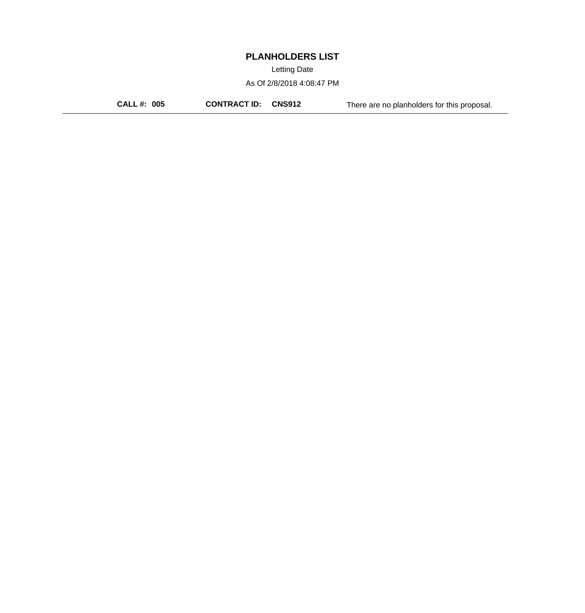Letting Date

As Of 2/8/2018 4:08:47 PM

**CALL #: 005 CONTRACT ID: CNS912** There are no planholders for this proposal.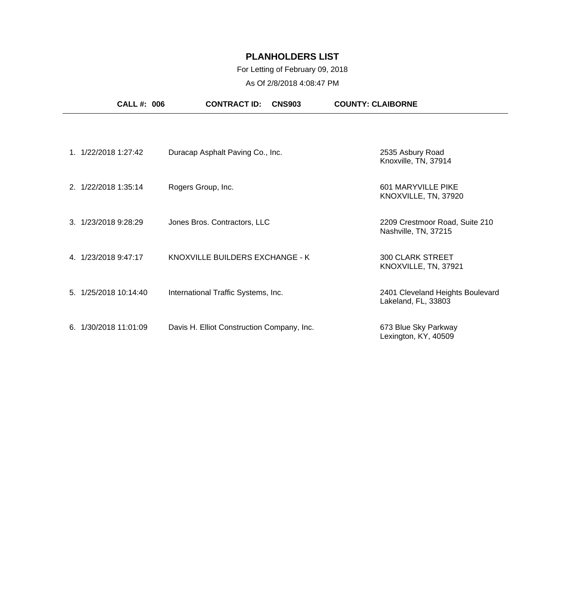### For Letting of February 09, 2018

|    | <b>CALL#: 006</b>    | <b>CONTRACT ID:</b>                        | <b>CNS903</b> | <b>COUNTY: CLAIBORNE</b>                                |
|----|----------------------|--------------------------------------------|---------------|---------------------------------------------------------|
|    |                      |                                            |               |                                                         |
| 1  | 1/22/2018 1:27:42    | Duracap Asphalt Paving Co., Inc.           |               | 2535 Asbury Road<br>Knoxville, TN, 37914                |
|    | 2. 1/22/2018 1:35:14 | Rogers Group, Inc.                         |               | 601 MARYVILLE PIKE<br>KNOXVILLE, TN, 37920              |
|    | 3. 1/23/2018 9:28:29 | Jones Bros. Contractors, LLC               |               | 2209 Crestmoor Road, Suite 210<br>Nashville, TN, 37215  |
| 4. | 1/23/2018 9:47:17    | KNOXVILLE BUILDERS EXCHANGE - K            |               | <b>300 CLARK STREET</b><br>KNOXVILLE, TN, 37921         |
| 5. | 1/25/2018 10:14:40   | International Traffic Systems, Inc.        |               | 2401 Cleveland Heights Boulevard<br>Lakeland, FL, 33803 |
| 6. | 1/30/2018 11:01:09   | Davis H. Elliot Construction Company, Inc. |               | 673 Blue Sky Parkway<br>Lexington, KY, 40509            |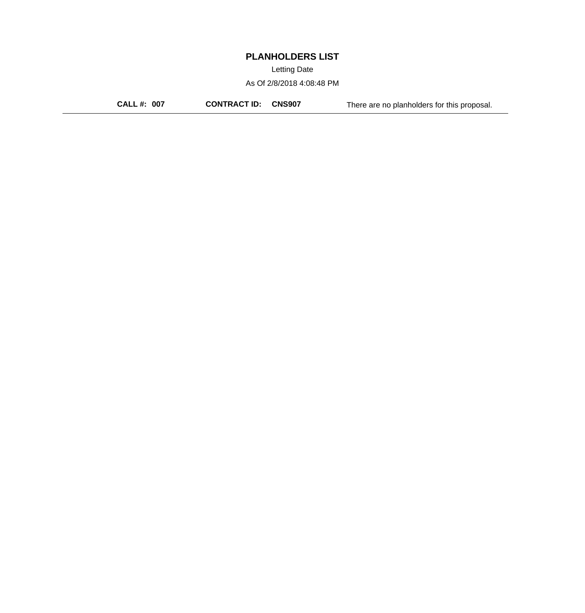Letting Date

As Of 2/8/2018 4:08:48 PM

**CALL #: 007 CONTRACT ID: CNS907** There are no planholders for this proposal.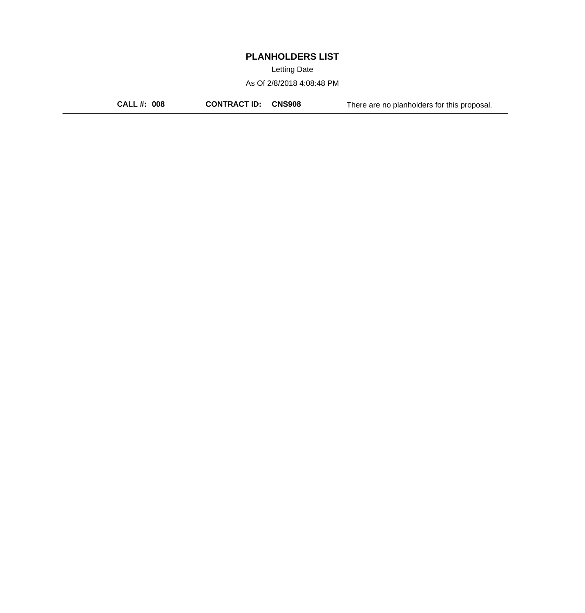Letting Date

As Of 2/8/2018 4:08:48 PM

**CALL #: 008 CONTRACT ID: CNS908** There are no planholders for this proposal.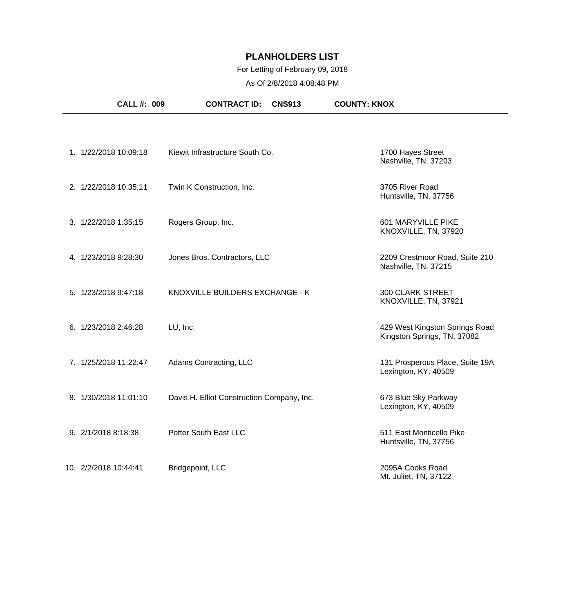### For Letting of February 09, 2018

| <b>CALL #: 009</b>    | <b>CONTRACT ID:</b><br><b>CNS913</b>       | <b>COUNTY: KNOX</b>                                           |
|-----------------------|--------------------------------------------|---------------------------------------------------------------|
|                       |                                            |                                                               |
| 1. 1/22/2018 10:09:18 | Kiewit Infrastructure South Co.            | 1700 Hayes Street<br>Nashville, TN, 37203                     |
| 2. 1/22/2018 10:35:11 | Twin K Construction, Inc.                  | 3705 River Road<br>Huntsville, TN, 37756                      |
| 3. 1/22/2018 1:35:15  | Rogers Group, Inc.                         | 601 MARYVILLE PIKE<br>KNOXVILLE, TN, 37920                    |
| 4. 1/23/2018 9:28:30  | Jones Bros. Contractors, LLC               | 2209 Crestmoor Road, Suite 210<br>Nashville, TN, 37215        |
| 5. 1/23/2018 9:47:18  | KNOXVILLE BUILDERS EXCHANGE - K            | <b>300 CLARK STREET</b><br>KNOXVILLE, TN, 37921               |
| 6. 1/23/2018 2:46:28  | LU, Inc.                                   | 429 West Kingston Springs Road<br>Kingston Springs, TN, 37082 |
| 7. 1/25/2018 11:22:47 | Adams Contracting, LLC                     | 131 Prosperous Place, Suite 19A<br>Lexington, KY, 40509       |
| 8. 1/30/2018 11:01:10 | Davis H. Elliot Construction Company, Inc. | 673 Blue Sky Parkway<br>Lexington, KY, 40509                  |
| 9. 2/1/2018 8:18:38   | Potter South East LLC                      | 511 East Monticello Pike<br>Huntsville, TN, 37756             |
| 10. 2/2/2018 10:44:41 | Bridgepoint, LLC                           | 2095A Cooks Road<br>Mt. Juliet, TN, 37122                     |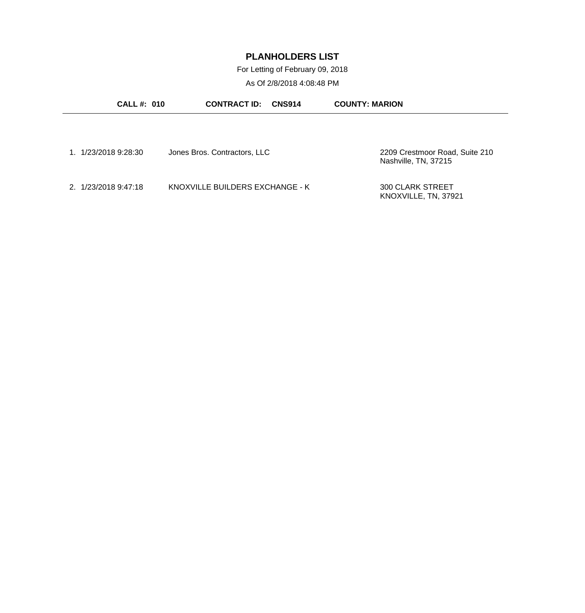For Letting of February 09, 2018

| <b>CALL#: 010</b>    | <b>CONTRACT ID:</b>             | <b>CNS914</b> | <b>COUNTY: MARION</b>                                  |
|----------------------|---------------------------------|---------------|--------------------------------------------------------|
|                      |                                 |               |                                                        |
| 1. 1/23/2018 9:28:30 | Jones Bros. Contractors, LLC    |               | 2209 Crestmoor Road, Suite 210<br>Nashville, TN, 37215 |
| 2. 1/23/2018 9:47:18 | KNOXVILLE BUILDERS EXCHANGE - K |               | <b>300 CLARK STREET</b><br>KNOXVILLE, TN, 37921        |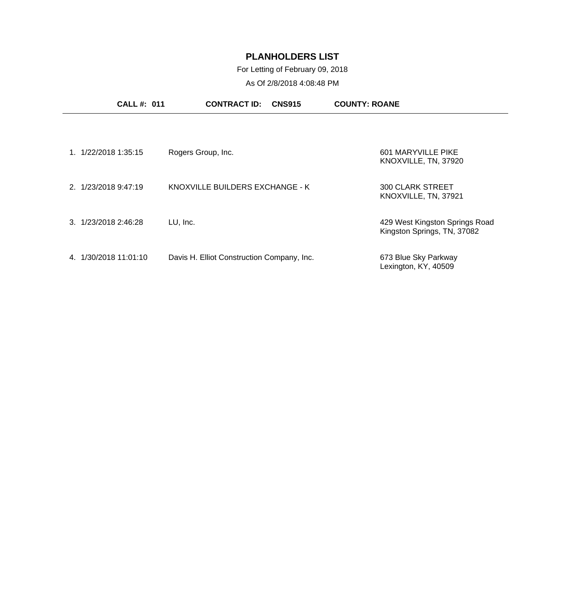### For Letting of February 09, 2018

| <b>CALL #: 011</b>      | <b>CONTRACT ID:</b><br><b>CNS915</b>       | <b>COUNTY: ROANE</b>                                          |
|-------------------------|--------------------------------------------|---------------------------------------------------------------|
|                         |                                            |                                                               |
| 1/22/2018 1:35:15       | Rogers Group, Inc.                         | 601 MARYVILLE PIKE<br>KNOXVILLE, TN, 37920                    |
| 2. 1/23/2018 9:47:19    | KNOXVILLE BUILDERS EXCHANGE - K            | <b>300 CLARK STREET</b><br>KNOXVILLE, TN, 37921               |
| 3. 1/23/2018 2:46:28    | LU, Inc.                                   | 429 West Kingston Springs Road<br>Kingston Springs, TN, 37082 |
| 1/30/2018 11:01:10<br>4 | Davis H. Elliot Construction Company, Inc. | 673 Blue Sky Parkway<br>Lexington, KY, 40509                  |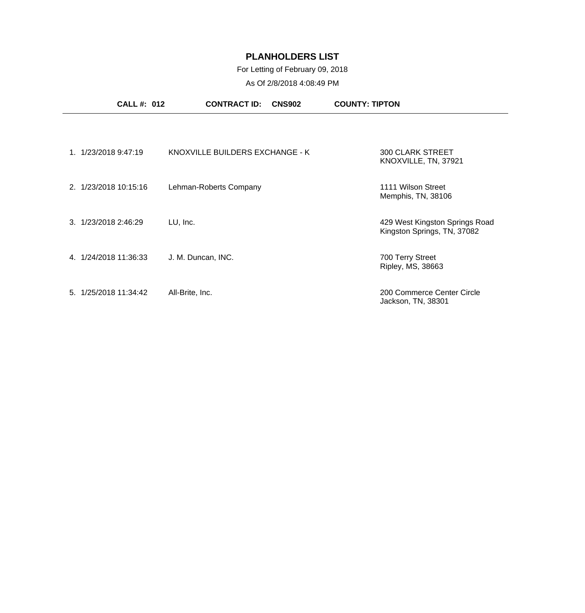### For Letting of February 09, 2018

|                      | <b>CALL #: 012</b>    | <b>CONTRACT ID:</b><br><b>CNS902</b> | <b>COUNTY: TIPTON</b>                                         |
|----------------------|-----------------------|--------------------------------------|---------------------------------------------------------------|
|                      |                       |                                      |                                                               |
|                      | 1. 1/23/2018 9:47:19  | KNOXVILLE BUILDERS EXCHANGE - K      | <b>300 CLARK STREET</b><br>KNOXVILLE, TN, 37921               |
|                      | 2. 1/23/2018 10:15:16 | Lehman-Roberts Company               | 1111 Wilson Street<br>Memphis, TN, 38106                      |
| 3. 1/23/2018 2:46:29 |                       | LU, Inc.                             | 429 West Kingston Springs Road<br>Kingston Springs, TN, 37082 |
|                      | 4. 1/24/2018 11:36:33 | J. M. Duncan, INC.                   | 700 Terry Street<br>Ripley, MS, 38663                         |
|                      | 5. 1/25/2018 11:34:42 | All-Brite, Inc.                      | 200 Commerce Center Circle<br>Jackson, TN, 38301              |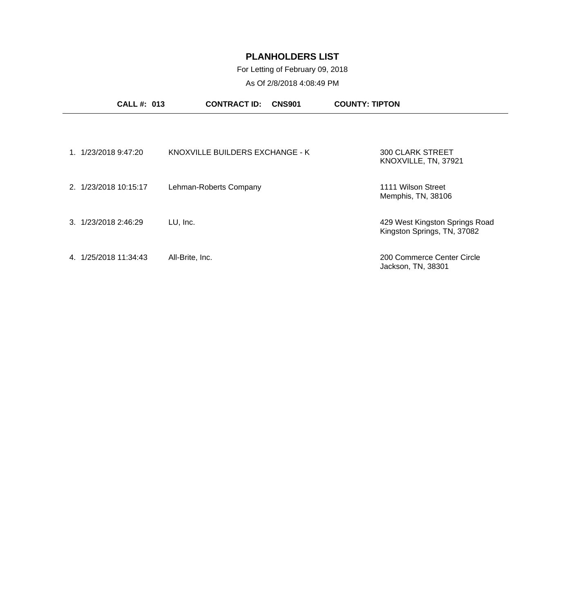For Letting of February 09, 2018

| <b>CALL#: 013</b>       | <b>CONTRACT ID:</b><br><b>CNS901</b> | <b>COUNTY: TIPTON</b>                                         |
|-------------------------|--------------------------------------|---------------------------------------------------------------|
|                         |                                      |                                                               |
| 1/23/2018 9:47:20       | KNOXVILLE BUILDERS EXCHANGE - K      | <b>300 CLARK STREET</b><br>KNOXVILLE, TN, 37921               |
| 2. 1/23/2018 10:15:17   | Lehman-Roberts Company               | 1111 Wilson Street<br>Memphis, TN, 38106                      |
| 3. 1/23/2018 2:46:29    | LU, Inc.                             | 429 West Kingston Springs Road<br>Kingston Springs, TN, 37082 |
| 1/25/2018 11:34:43<br>4 | All-Brite, Inc.                      | 200 Commerce Center Circle<br>Jackson, TN, 38301              |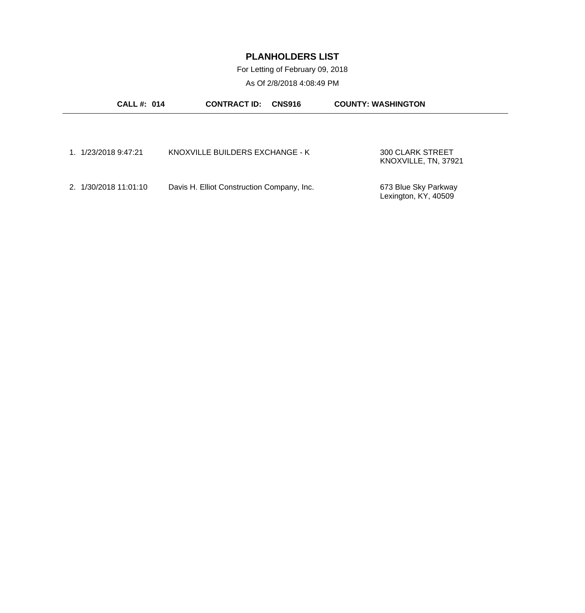For Letting of February 09, 2018

| <b>CALL#: 014</b>     | <b>CONTRACT ID:</b>                        | <b>CNS916</b> | <b>COUNTY: WASHINGTON</b> |
|-----------------------|--------------------------------------------|---------------|---------------------------|
|                       |                                            |               |                           |
|                       |                                            |               |                           |
| 1. 1/23/2018 9:47:21  | KNOXVILLE BUILDERS EXCHANGE - K            |               | <b>300 CLARK STREET</b>   |
|                       |                                            |               | KNOXVILLE, TN, 37921      |
| 2. 1/30/2018 11:01:10 | Davis H. Elliot Construction Company, Inc. |               | 673 Blue Sky Parkway      |
|                       |                                            |               | Lexington, KY, 40509      |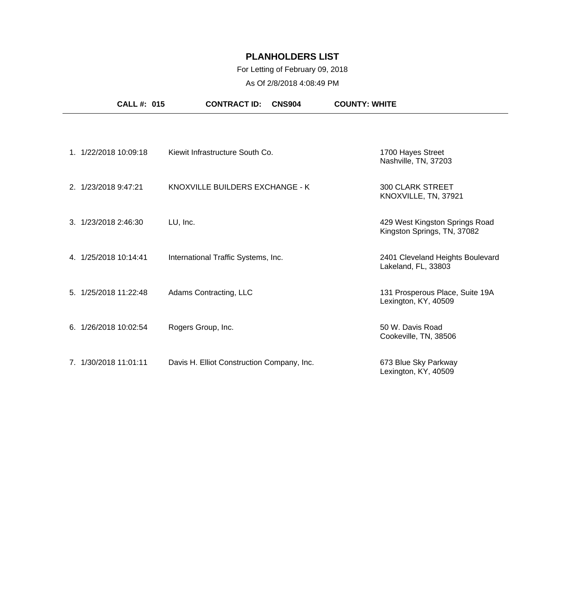### For Letting of February 09, 2018

| <b>CALL #: 015</b>    |                                            | <b>CONTRACT ID:</b> | <b>CNS904</b> | <b>COUNTY: WHITE</b>                                          |
|-----------------------|--------------------------------------------|---------------------|---------------|---------------------------------------------------------------|
|                       |                                            |                     |               |                                                               |
| 1. 1/22/2018 10:09:18 | Kiewit Infrastructure South Co.            |                     |               | 1700 Hayes Street<br>Nashville, TN, 37203                     |
| 2. 1/23/2018 9:47:21  | KNOXVILLE BUILDERS EXCHANGE - K            |                     |               | <b>300 CLARK STREET</b><br>KNOXVILLE, TN, 37921               |
| 3. 1/23/2018 2:46:30  | LU, Inc.                                   |                     |               | 429 West Kingston Springs Road<br>Kingston Springs, TN, 37082 |
| 4. 1/25/2018 10:14:41 | International Traffic Systems, Inc.        |                     |               | 2401 Cleveland Heights Boulevard<br>Lakeland, FL, 33803       |
| 5. 1/25/2018 11:22:48 | Adams Contracting, LLC                     |                     |               | 131 Prosperous Place, Suite 19A<br>Lexington, KY, 40509       |
| 6. 1/26/2018 10:02:54 | Rogers Group, Inc.                         |                     |               | 50 W. Davis Road<br>Cookeville, TN, 38506                     |
| 7. 1/30/2018 11:01:11 | Davis H. Elliot Construction Company, Inc. |                     |               | 673 Blue Sky Parkway<br>Lexington, KY, 40509                  |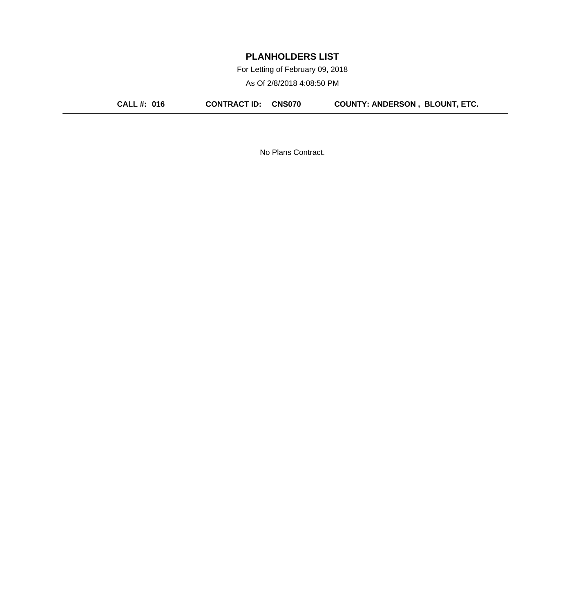For Letting of February 09, 2018

As Of 2/8/2018 4:08:50 PM

**CALL #: 016 CONTRACT ID: CNS070 COUNTY: ANDERSON , BLOUNT, ETC.**

No Plans Contract.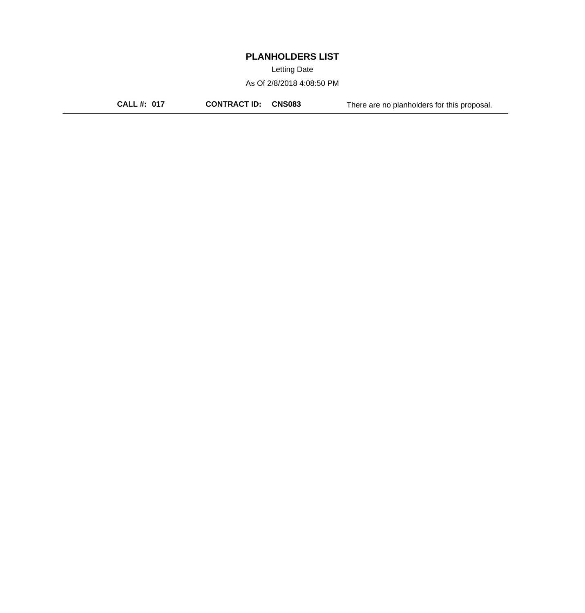Letting Date

As Of 2/8/2018 4:08:50 PM

**CALL #: 017 CONTRACT ID: CNS083** There are no planholders for this proposal.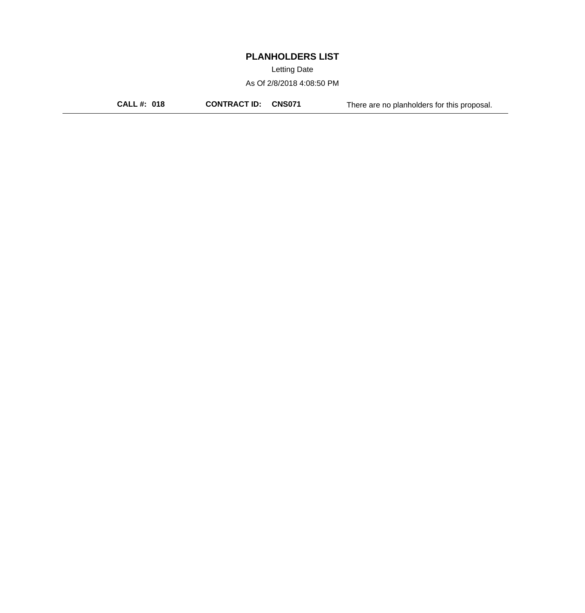Letting Date

As Of 2/8/2018 4:08:50 PM

**CALL #: 018 CONTRACT ID: CNS071** There are no planholders for this proposal.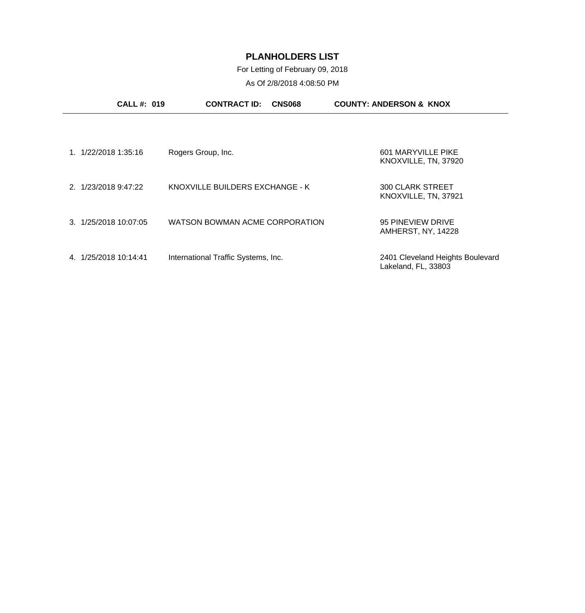For Letting of February 09, 2018

|                       | <b>CALL#: 019</b> | <b>CONTRACT ID:</b>                 | <b>CNS068</b> | <b>COUNTY: ANDERSON &amp; KNOX</b>                      |  |
|-----------------------|-------------------|-------------------------------------|---------------|---------------------------------------------------------|--|
|                       |                   |                                     |               |                                                         |  |
| 1. 1/22/2018 1:35:16  |                   | Rogers Group, Inc.                  |               | 601 MARYVILLE PIKE<br>KNOXVILLE, TN, 37920              |  |
| 2. 1/23/2018 9:47:22  |                   | KNOXVILLE BUILDERS EXCHANGE - K     |               | <b>300 CLARK STREET</b><br>KNOXVILLE, TN, 37921         |  |
| 3. 1/25/2018 10:07:05 |                   | WATSON BOWMAN ACME CORPORATION      |               | 95 PINEVIEW DRIVE<br>AMHERST, NY, 14228                 |  |
| 4. 1/25/2018 10:14:41 |                   | International Traffic Systems, Inc. |               | 2401 Cleveland Heights Boulevard<br>Lakeland, FL, 33803 |  |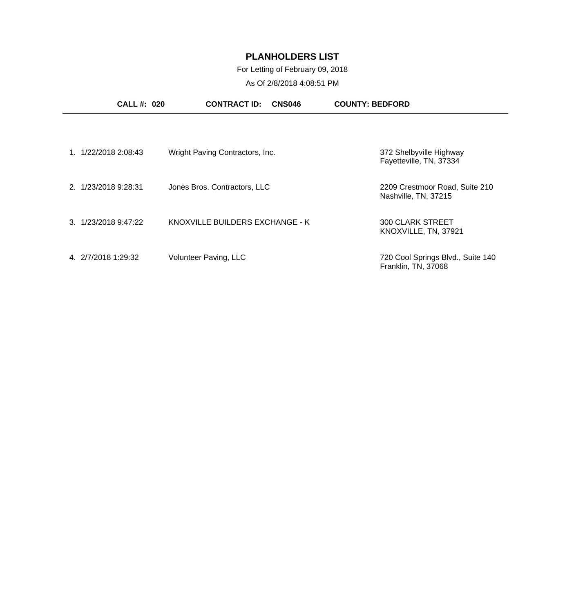### For Letting of February 09, 2018

|                      | <b>CALL#: 020</b> | <b>CONTRACT ID:</b><br><b>CNS046</b> | <b>COUNTY: BEDFORD</b>                                   |
|----------------------|-------------------|--------------------------------------|----------------------------------------------------------|
|                      |                   |                                      |                                                          |
| 1.                   | 1/22/2018 2:08:43 | Wright Paving Contractors, Inc.      | 372 Shelbyville Highway<br>Fayetteville, TN, 37334       |
| 2. 1/23/2018 9:28:31 |                   | Jones Bros. Contractors, LLC         | 2209 Crestmoor Road, Suite 210<br>Nashville, TN, 37215   |
| 3. 1/23/2018 9:47:22 |                   | KNOXVILLE BUILDERS EXCHANGE - K      | <b>300 CLARK STREET</b><br>KNOXVILLE, TN, 37921          |
| 4. 2/7/2018 1:29:32  |                   | Volunteer Paving, LLC                | 720 Cool Springs Blvd., Suite 140<br>Franklin, TN, 37068 |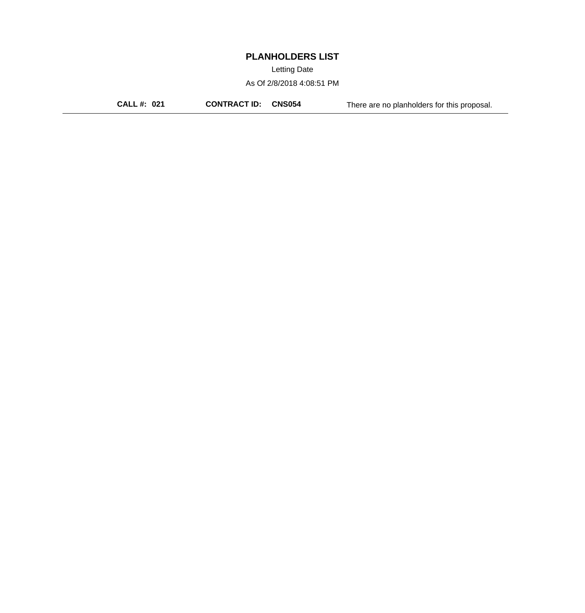Letting Date

As Of 2/8/2018 4:08:51 PM

**CALL #: 021 CONTRACT ID: CNS054** There are no planholders for this proposal.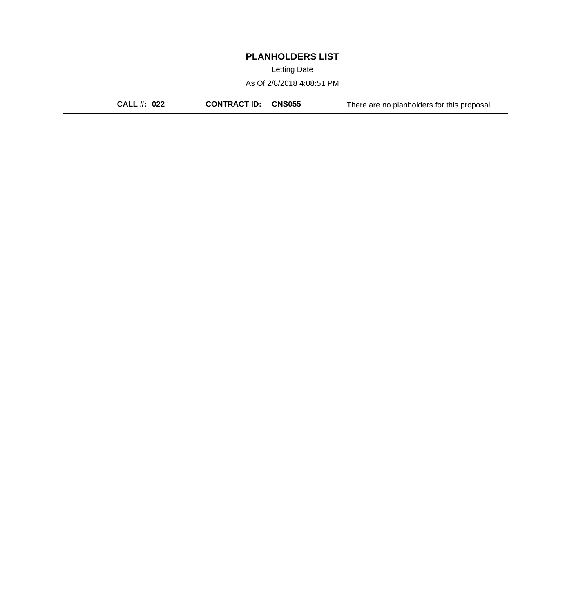Letting Date

As Of 2/8/2018 4:08:51 PM

**CALL #: 022 CONTRACT ID: CNS055** There are no planholders for this proposal.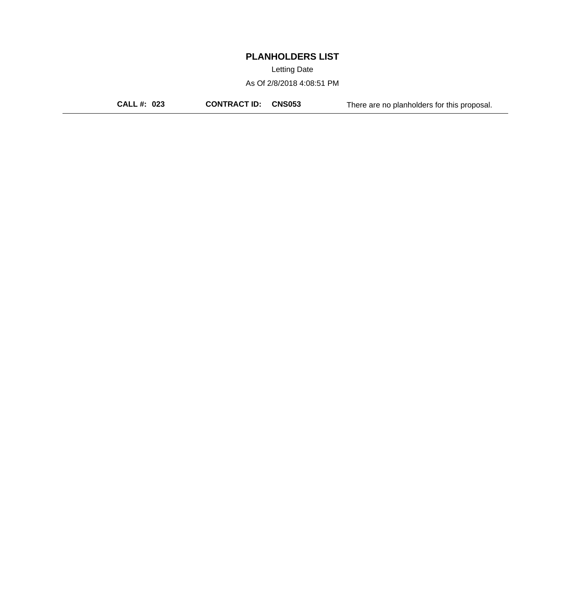Letting Date

As Of 2/8/2018 4:08:51 PM

**CALL #: 023 CONTRACT ID: CNS053** There are no planholders for this proposal.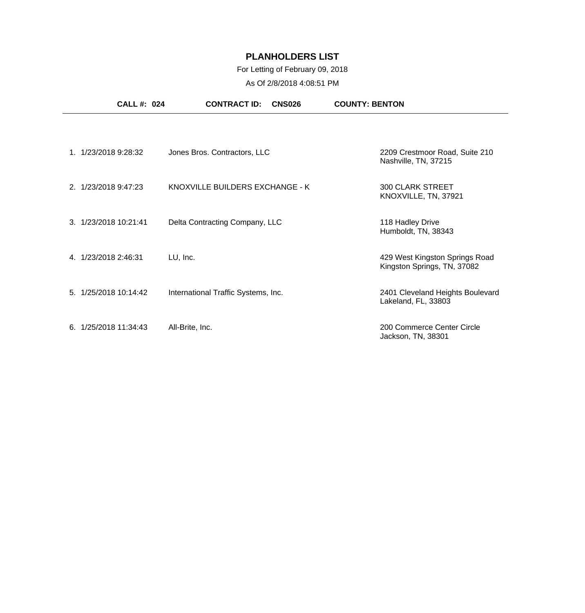### For Letting of February 09, 2018

| <b>CALL #: 024</b>    | <b>CONTRACT ID:</b><br><b>CNS026</b> | <b>COUNTY: BENTON</b>                                         |
|-----------------------|--------------------------------------|---------------------------------------------------------------|
|                       |                                      |                                                               |
| 1. 1/23/2018 9:28:32  | Jones Bros. Contractors, LLC         | 2209 Crestmoor Road, Suite 210<br>Nashville, TN, 37215        |
| 2. 1/23/2018 9:47:23  | KNOXVILLE BUILDERS EXCHANGE - K      | <b>300 CLARK STREET</b><br>KNOXVILLE, TN, 37921               |
| 3. 1/23/2018 10:21:41 | Delta Contracting Company, LLC       | 118 Hadley Drive<br>Humboldt, TN, 38343                       |
| 4. 1/23/2018 2:46:31  | LU, Inc.                             | 429 West Kingston Springs Road<br>Kingston Springs, TN, 37082 |
| 5. 1/25/2018 10:14:42 | International Traffic Systems, Inc.  | 2401 Cleveland Heights Boulevard<br>Lakeland, FL, 33803       |
| 6. 1/25/2018 11:34:43 | All-Brite, Inc.                      | 200 Commerce Center Circle<br>Jackson, TN, 38301              |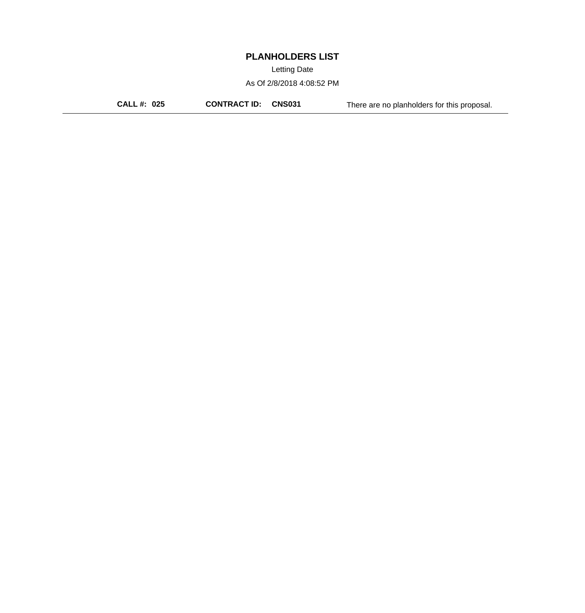Letting Date

As Of 2/8/2018 4:08:52 PM

**CALL #: 025 CONTRACT ID: CNS031** There are no planholders for this proposal.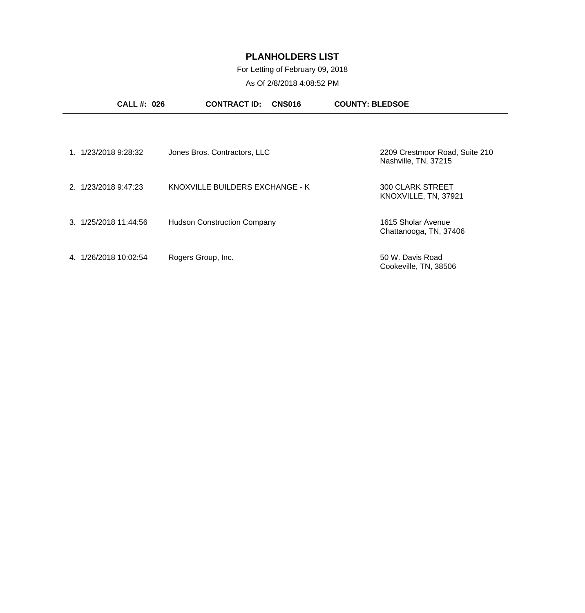For Letting of February 09, 2018

| <b>CALL#: 026</b>       | <b>CONTRACT ID:</b><br><b>CNS016</b> | <b>COUNTY: BLEDSOE</b>                                 |
|-------------------------|--------------------------------------|--------------------------------------------------------|
|                         |                                      |                                                        |
| 1/23/2018 9:28:32       | Jones Bros. Contractors, LLC         | 2209 Crestmoor Road, Suite 210<br>Nashville, TN, 37215 |
| 2. 1/23/2018 9:47:23    | KNOXVILLE BUILDERS EXCHANGE - K      | <b>300 CLARK STREET</b><br>KNOXVILLE, TN, 37921        |
| 3. 1/25/2018 11:44:56   | <b>Hudson Construction Company</b>   | 1615 Sholar Avenue<br>Chattanooga, TN, 37406           |
| 1/26/2018 10:02:54<br>4 | Rogers Group, Inc.                   | 50 W. Davis Road<br>Cookeville, TN, 38506              |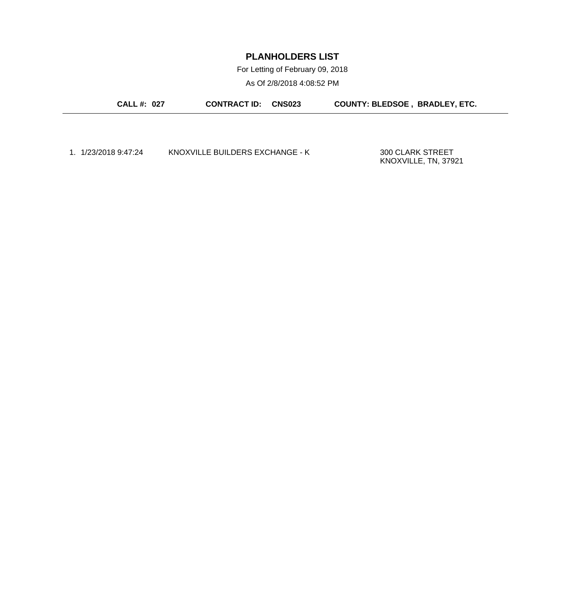For Letting of February 09, 2018

As Of 2/8/2018 4:08:52 PM

**CALL #: 027 CONTRACT ID: CNS023 COUNTY: BLEDSOE , BRADLEY, ETC.**

1. 1/23/2018 9:47:24 KNOXVILLE BUILDERS EXCHANGE - K 300 CLARK STREET

KNOXVILLE, TN, 37921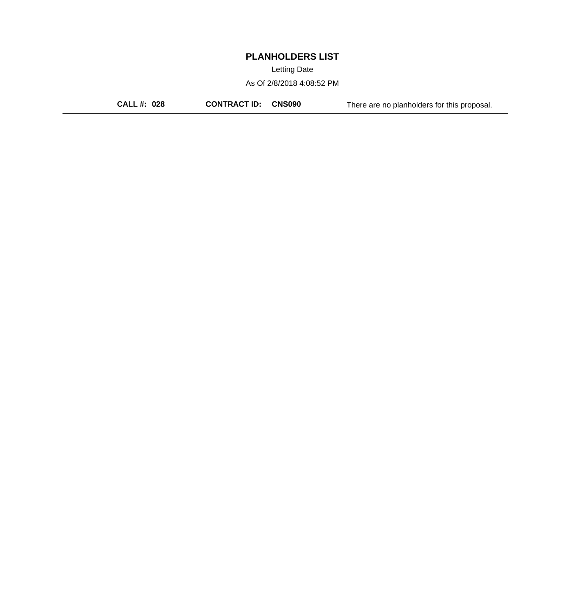Letting Date

As Of 2/8/2018 4:08:52 PM

**CALL #: 028 CONTRACT ID: CNS090** There are no planholders for this proposal.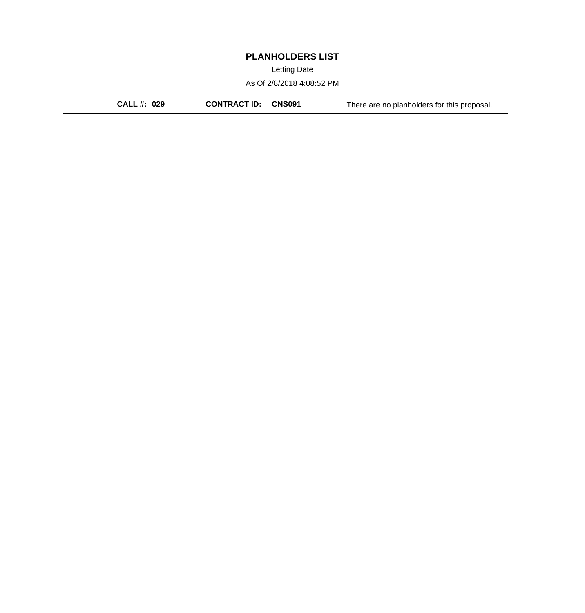Letting Date

As Of 2/8/2018 4:08:52 PM

**CALL #: 029 CONTRACT ID: CNS091** There are no planholders for this proposal.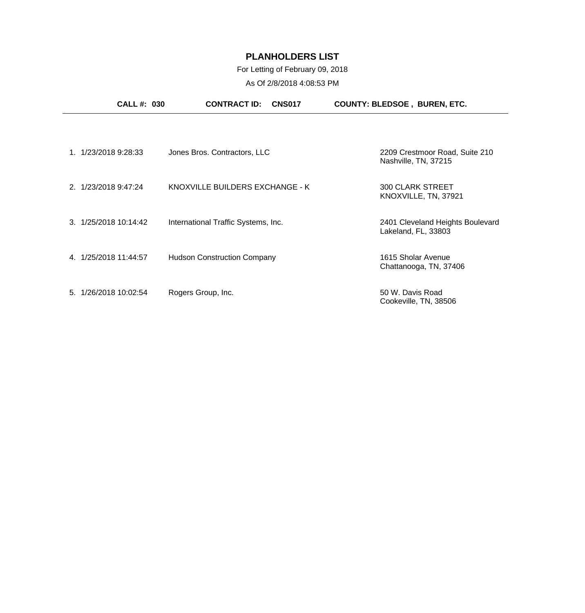### For Letting of February 09, 2018

| <b>CALL #: 030</b>    | <b>CONTRACT ID:</b><br><b>CNS017</b> | <b>COUNTY: BLEDSOE, BUREN, ETC.</b>                     |
|-----------------------|--------------------------------------|---------------------------------------------------------|
|                       |                                      |                                                         |
| 1. 1/23/2018 9:28:33  | Jones Bros. Contractors, LLC         | 2209 Crestmoor Road, Suite 210<br>Nashville, TN, 37215  |
| 2. 1/23/2018 9:47:24  | KNOXVILLE BUILDERS EXCHANGE - K      | <b>300 CLARK STREET</b><br>KNOXVILLE, TN, 37921         |
| 3. 1/25/2018 10:14:42 | International Traffic Systems, Inc.  | 2401 Cleveland Heights Boulevard<br>Lakeland, FL, 33803 |
| 4. 1/25/2018 11:44:57 | <b>Hudson Construction Company</b>   | 1615 Sholar Avenue<br>Chattanooga, TN, 37406            |
| 5. 1/26/2018 10:02:54 | Rogers Group, Inc.                   | 50 W. Davis Road<br>Cookeville, TN, 38506               |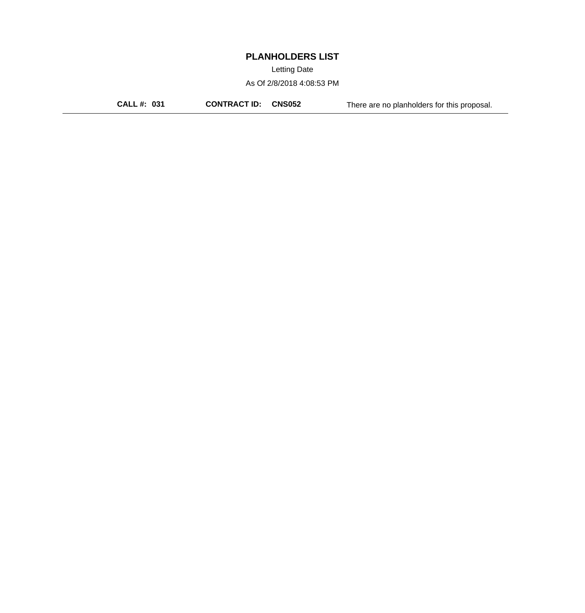Letting Date

As Of 2/8/2018 4:08:53 PM

**CALL #: 031 CONTRACT ID: CNS052** There are no planholders for this proposal.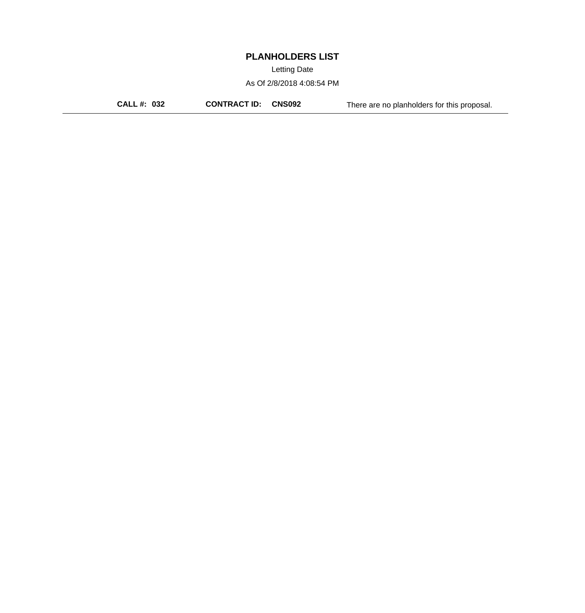Letting Date

As Of 2/8/2018 4:08:54 PM

**CALL #: 032 CONTRACT ID: CNS092** There are no planholders for this proposal.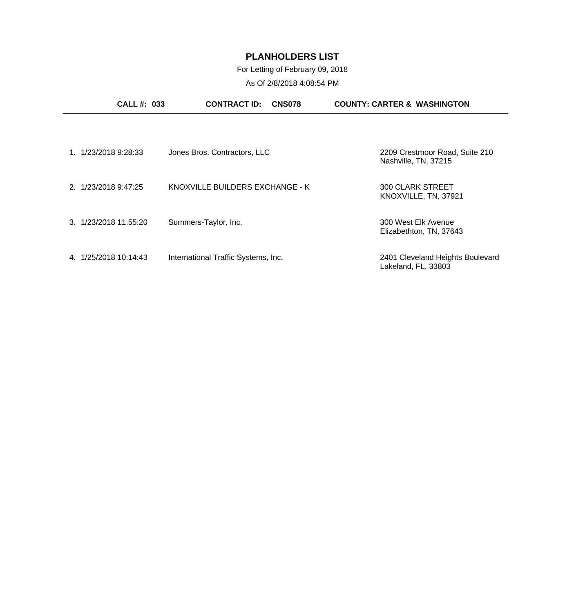For Letting of February 09, 2018

| <b>CALL#: 033</b>     | <b>CONTRACT ID:</b><br><b>CNS078</b> | <b>COUNTY: CARTER &amp; WASHINGTON</b>                  |
|-----------------------|--------------------------------------|---------------------------------------------------------|
|                       |                                      |                                                         |
| 1. 1/23/2018 9:28:33  | Jones Bros. Contractors, LLC         | 2209 Crestmoor Road, Suite 210<br>Nashville, TN, 37215  |
| 2. 1/23/2018 9:47:25  | KNOXVILLE BUILDERS EXCHANGE - K      | <b>300 CLARK STREET</b><br>KNOXVILLE, TN, 37921         |
| 3. 1/23/2018 11:55:20 | Summers-Taylor, Inc.                 | 300 West Elk Avenue<br>Elizabethton, TN, 37643          |
| 4. 1/25/2018 10:14:43 | International Traffic Systems, Inc.  | 2401 Cleveland Heights Boulevard<br>Lakeland, FL, 33803 |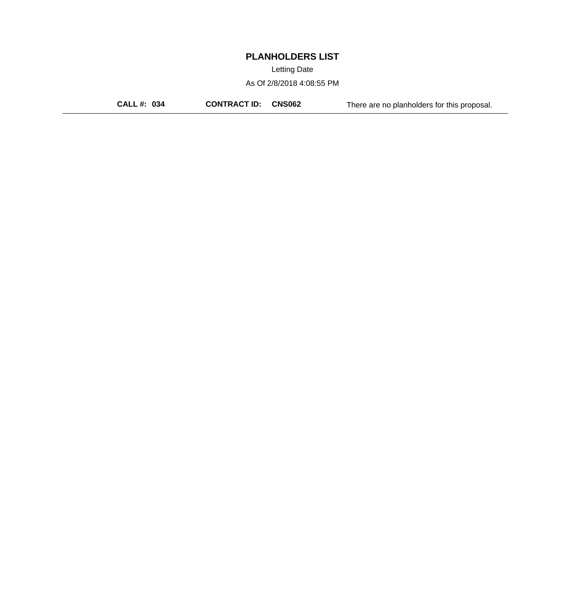Letting Date

As Of 2/8/2018 4:08:55 PM

**CALL #: 034 CONTRACT ID: CNS062** There are no planholders for this proposal.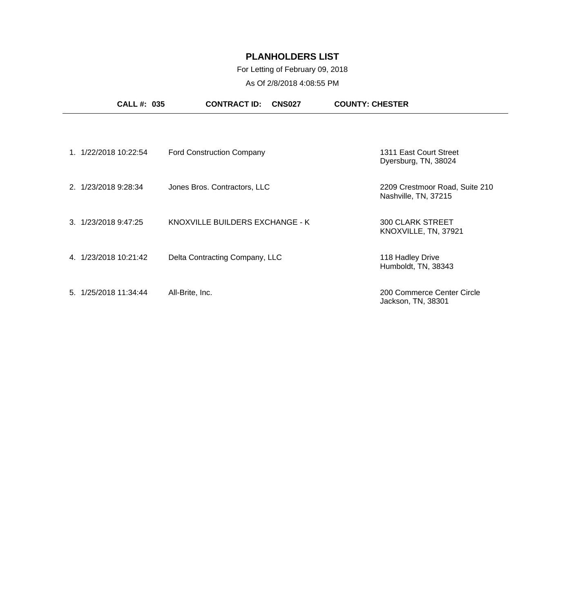### For Letting of February 09, 2018

| <b>CALL #: 035</b>       | <b>CONTRACT ID:</b><br><b>CNS027</b> | <b>COUNTY: CHESTER</b>                                 |
|--------------------------|--------------------------------------|--------------------------------------------------------|
|                          |                                      |                                                        |
| 1/22/2018 10:22:54<br>1  | <b>Ford Construction Company</b>     | 1311 East Court Street<br>Dyersburg, TN, 38024         |
| 2. 1/23/2018 9:28:34     | Jones Bros. Contractors, LLC         | 2209 Crestmoor Road, Suite 210<br>Nashville, TN, 37215 |
| 1/23/2018 9:47:25<br>3   | KNOXVILLE BUILDERS EXCHANGE - K      | <b>300 CLARK STREET</b><br>KNOXVILLE, TN, 37921        |
| 1/23/2018 10:21:42<br>4  | Delta Contracting Company, LLC       | 118 Hadley Drive<br>Humboldt, TN, 38343                |
| 1/25/2018 11:34:44<br>5. | All-Brite, Inc.                      | 200 Commerce Center Circle<br>Jackson, TN, 38301       |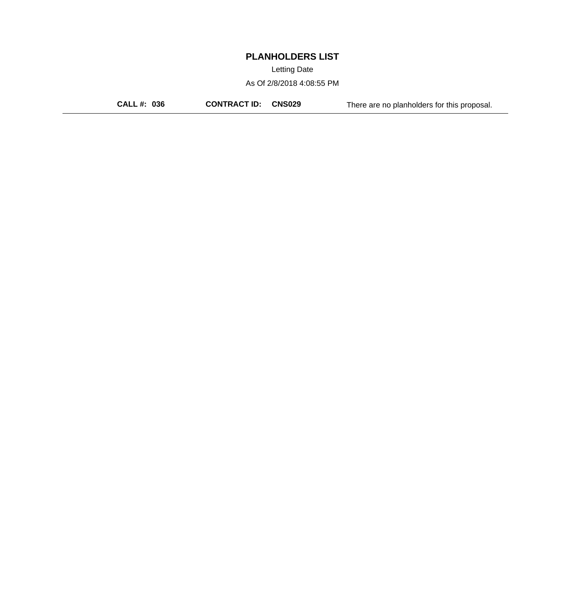Letting Date

As Of 2/8/2018 4:08:55 PM

**CALL #: 036 CONTRACT ID: CNS029** There are no planholders for this proposal.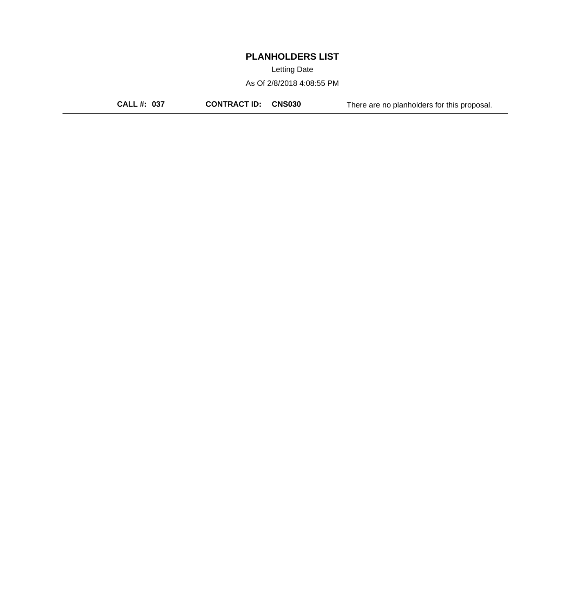Letting Date

As Of 2/8/2018 4:08:55 PM

**CALL #: 037 CONTRACT ID: CNS030** There are no planholders for this proposal.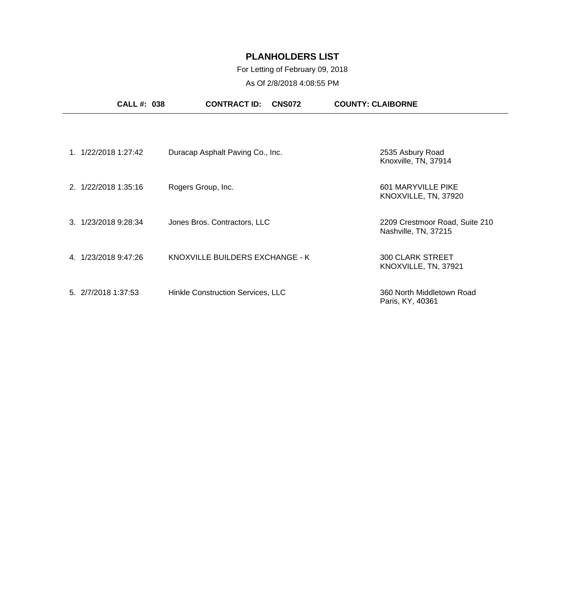### For Letting of February 09, 2018

| <b>CALL #: 038</b>   | <b>CONTRACT ID:</b><br><b>CNS072</b> | <b>COUNTY: CLAIBORNE</b>                               |
|----------------------|--------------------------------------|--------------------------------------------------------|
|                      |                                      |                                                        |
| 1. 1/22/2018 1:27:42 | Duracap Asphalt Paving Co., Inc.     | 2535 Asbury Road<br>Knoxville, TN, 37914               |
| 2. 1/22/2018 1:35:16 | Rogers Group, Inc.                   | 601 MARYVILLE PIKE<br>KNOXVILLE, TN, 37920             |
| 3. 1/23/2018 9:28:34 | Jones Bros. Contractors, LLC         | 2209 Crestmoor Road, Suite 210<br>Nashville, TN, 37215 |
| 4. 1/23/2018 9:47:26 | KNOXVILLE BUILDERS EXCHANGE - K      | <b>300 CLARK STREET</b><br>KNOXVILLE, TN, 37921        |
| 5. 2/7/2018 1:37:53  | Hinkle Construction Services, LLC    | 360 North Middletown Road<br>Paris, KY, 40361          |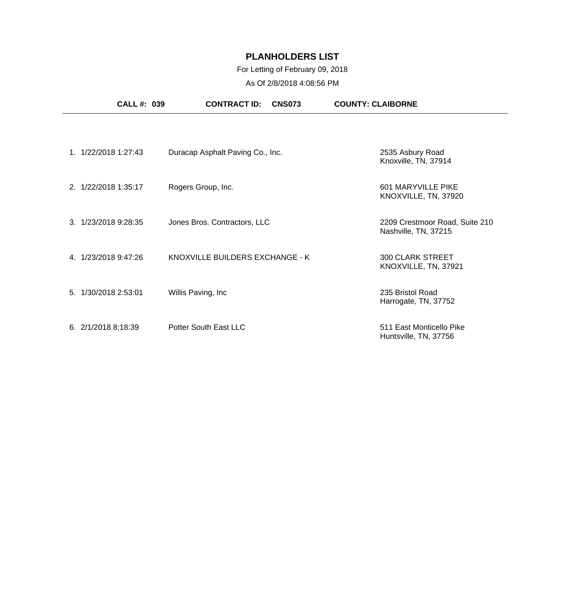### For Letting of February 09, 2018

| <b>CALL#: 039</b>    | <b>CONTRACT ID:</b><br><b>CNS073</b> | <b>COUNTY: CLAIBORNE</b>                               |
|----------------------|--------------------------------------|--------------------------------------------------------|
|                      |                                      |                                                        |
| 1. 1/22/2018 1:27:43 | Duracap Asphalt Paving Co., Inc.     | 2535 Asbury Road<br>Knoxville, TN, 37914               |
| 2. 1/22/2018 1:35:17 | Rogers Group, Inc.                   | 601 MARYVILLE PIKE<br>KNOXVILLE, TN, 37920             |
| 3. 1/23/2018 9:28:35 | Jones Bros. Contractors, LLC         | 2209 Crestmoor Road, Suite 210<br>Nashville, TN, 37215 |
| 4. 1/23/2018 9:47:26 | KNOXVILLE BUILDERS EXCHANGE - K      | <b>300 CLARK STREET</b><br>KNOXVILLE, TN, 37921        |
| 5. 1/30/2018 2:53:01 | Willis Paving, Inc.                  | 235 Bristol Road<br>Harrogate, TN, 37752               |
| 6.2/1/20188:18:39    | Potter South East LLC                | 511 East Monticello Pike<br>Huntsville, TN, 37756      |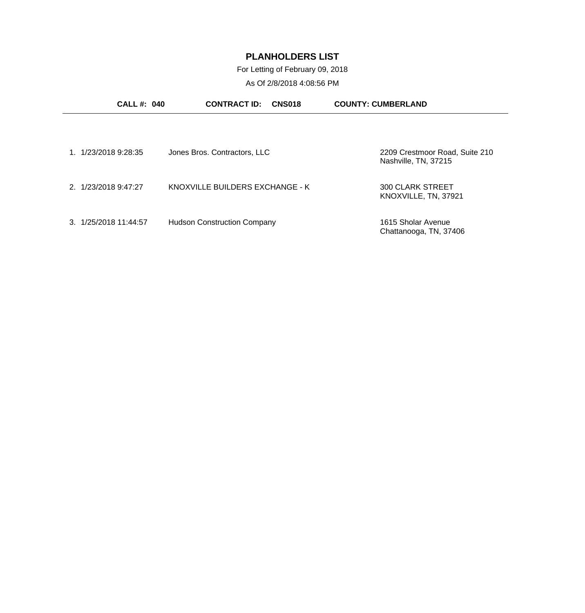For Letting of February 09, 2018

| <b>CALL#: 040</b>     | <b>CONTRACT ID:</b><br><b>CNS018</b> | <b>COUNTY: CUMBERLAND</b>                              |
|-----------------------|--------------------------------------|--------------------------------------------------------|
|                       |                                      |                                                        |
| 1/23/2018 9:28:35     | Jones Bros. Contractors, LLC         | 2209 Crestmoor Road, Suite 210<br>Nashville, TN, 37215 |
| 2. 1/23/2018 9:47:27  | KNOXVILLE BUILDERS EXCHANGE - K      | <b>300 CLARK STREET</b><br>KNOXVILLE, TN, 37921        |
| 3. 1/25/2018 11:44:57 | <b>Hudson Construction Company</b>   | 1615 Sholar Avenue<br>Chattanooga, TN, 37406           |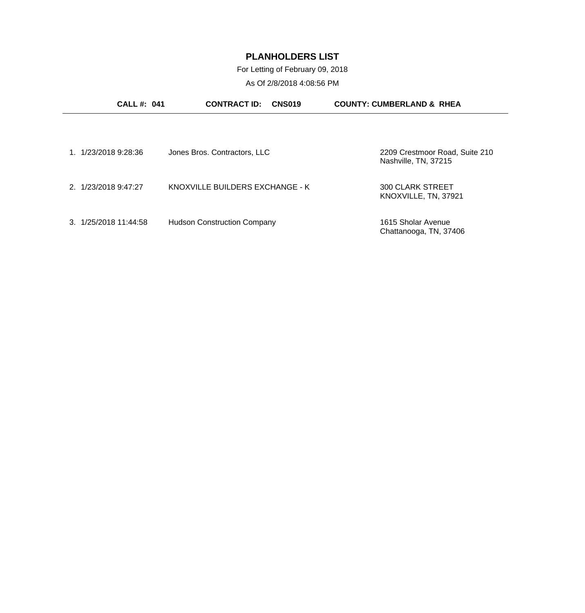For Letting of February 09, 2018

| <b>CALL#: 041</b>     | <b>CONTRACT ID:</b><br><b>CNS019</b> | <b>COUNTY: CUMBERLAND &amp; RHEA</b>                   |
|-----------------------|--------------------------------------|--------------------------------------------------------|
|                       |                                      |                                                        |
| 1. 1/23/2018 9:28:36  | Jones Bros. Contractors, LLC         | 2209 Crestmoor Road, Suite 210<br>Nashville, TN, 37215 |
| 2. 1/23/2018 9:47:27  | KNOXVILLE BUILDERS EXCHANGE - K      | <b>300 CLARK STREET</b><br>KNOXVILLE, TN, 37921        |
| 3. 1/25/2018 11:44:58 | <b>Hudson Construction Company</b>   | 1615 Sholar Avenue<br>Chattanooga, TN, 37406           |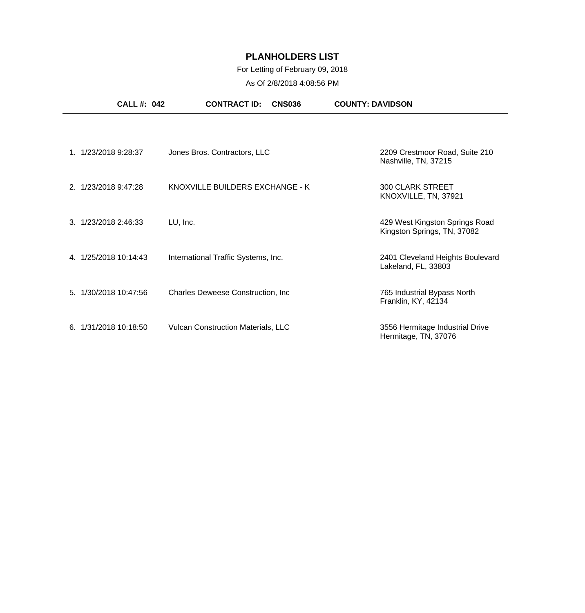### For Letting of February 09, 2018

| <b>CALL #: 042</b>    | <b>CONTRACT ID:</b><br><b>CNS036</b>      | <b>COUNTY: DAVIDSON</b>                                       |
|-----------------------|-------------------------------------------|---------------------------------------------------------------|
|                       |                                           |                                                               |
| 1. 1/23/2018 9:28:37  | Jones Bros. Contractors, LLC              | 2209 Crestmoor Road, Suite 210<br>Nashville, TN, 37215        |
| 2. 1/23/2018 9:47:28  | KNOXVILLE BUILDERS EXCHANGE - K           | <b>300 CLARK STREET</b><br>KNOXVILLE, TN, 37921               |
| 3. 1/23/2018 2:46:33  | LU, Inc.                                  | 429 West Kingston Springs Road<br>Kingston Springs, TN, 37082 |
| 4. 1/25/2018 10:14:43 | International Traffic Systems, Inc.       | 2401 Cleveland Heights Boulevard<br>Lakeland, FL, 33803       |
| 5. 1/30/2018 10:47:56 | <b>Charles Deweese Construction, Inc.</b> | 765 Industrial Bypass North<br>Franklin, KY, 42134            |
| 6. 1/31/2018 10:18:50 | <b>Vulcan Construction Materials, LLC</b> | 3556 Hermitage Industrial Drive<br>Hermitage, TN, 37076       |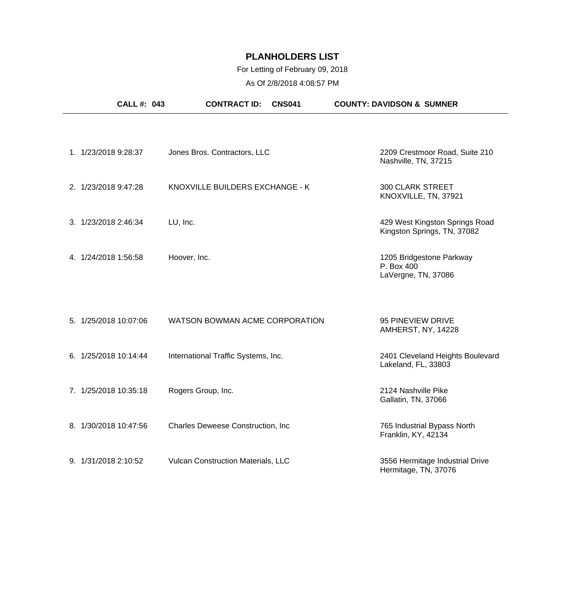### For Letting of February 09, 2018

| <b>CALL #: 043</b>    | <b>CONTRACT ID:</b><br><b>CNS041</b> | <b>COUNTY: DAVIDSON &amp; SUMNER</b>                          |
|-----------------------|--------------------------------------|---------------------------------------------------------------|
| 1. 1/23/2018 9:28:37  | Jones Bros. Contractors, LLC         | 2209 Crestmoor Road, Suite 210<br>Nashville, TN, 37215        |
| 2. 1/23/2018 9:47:28  | KNOXVILLE BUILDERS EXCHANGE - K      | <b>300 CLARK STREET</b><br>KNOXVILLE, TN, 37921               |
| 3. 1/23/2018 2:46:34  | LU, Inc.                             | 429 West Kingston Springs Road<br>Kingston Springs, TN, 37082 |
| 4. 1/24/2018 1:56:58  | Hoover, Inc.                         | 1205 Bridgestone Parkway<br>P. Box 400<br>LaVergne, TN, 37086 |
| 5. 1/25/2018 10:07:06 | WATSON BOWMAN ACME CORPORATION       | 95 PINEVIEW DRIVE<br>AMHERST, NY, 14228                       |
| 6. 1/25/2018 10:14:44 | International Traffic Systems, Inc.  | 2401 Cleveland Heights Boulevard<br>Lakeland, FL, 33803       |
| 7. 1/25/2018 10:35:18 | Rogers Group, Inc.                   | 2124 Nashville Pike<br>Gallatin, TN, 37066                    |
| 8. 1/30/2018 10:47:56 | Charles Deweese Construction, Inc.   | 765 Industrial Bypass North<br>Franklin, KY, 42134            |
| 9. 1/31/2018 2:10:52  | Vulcan Construction Materials, LLC   | 3556 Hermitage Industrial Drive<br>Hermitage, TN, 37076       |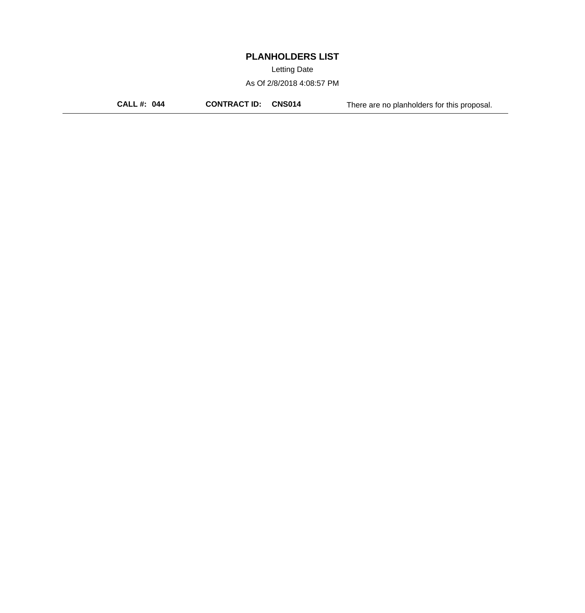Letting Date

As Of 2/8/2018 4:08:57 PM

**CALL #: 044 CONTRACT ID: CNS014** There are no planholders for this proposal.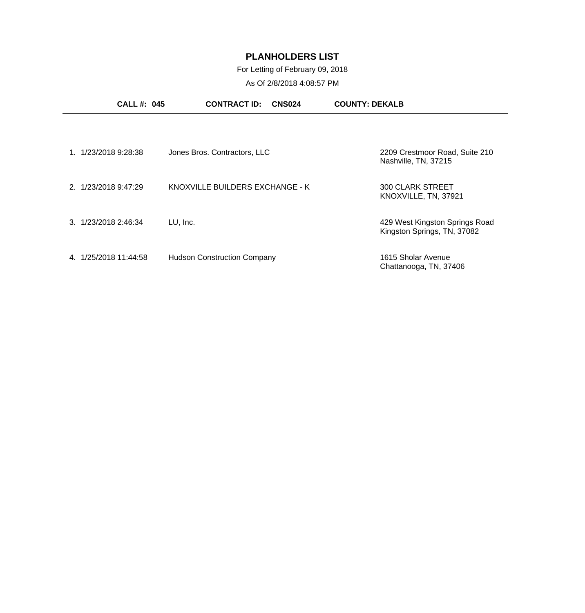For Letting of February 09, 2018

| <b>CALL#: 045</b>       | <b>CONTRACT ID:</b><br><b>CNS024</b> | <b>COUNTY: DEKALB</b>                                         |
|-------------------------|--------------------------------------|---------------------------------------------------------------|
| 1/23/2018 9:28:38       | Jones Bros. Contractors, LLC         | 2209 Crestmoor Road, Suite 210<br>Nashville, TN, 37215        |
| 2. 1/23/2018 9:47:29    | KNOXVILLE BUILDERS EXCHANGE - K      | <b>300 CLARK STREET</b><br>KNOXVILLE, TN, 37921               |
| 3. 1/23/2018 2:46:34    | LU, Inc.                             | 429 West Kingston Springs Road<br>Kingston Springs, TN, 37082 |
| 1/25/2018 11:44:58<br>4 | <b>Hudson Construction Company</b>   | 1615 Sholar Avenue<br>Chattanooga, TN, 37406                  |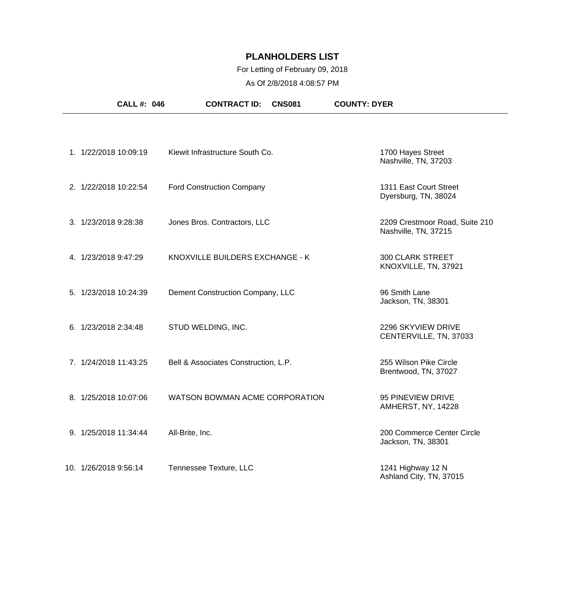### For Letting of February 09, 2018

| <b>CALL #: 046</b>    | <b>CONTRACT ID:</b>                  | <b>CNS081</b> | <b>COUNTY: DYER</b>                                    |  |
|-----------------------|--------------------------------------|---------------|--------------------------------------------------------|--|
|                       |                                      |               |                                                        |  |
| 1. 1/22/2018 10:09:19 | Kiewit Infrastructure South Co.      |               | 1700 Hayes Street<br>Nashville, TN, 37203              |  |
| 2. 1/22/2018 10:22:54 | <b>Ford Construction Company</b>     |               | 1311 East Court Street<br>Dyersburg, TN, 38024         |  |
| 3. 1/23/2018 9:28:38  | Jones Bros. Contractors, LLC         |               | 2209 Crestmoor Road, Suite 210<br>Nashville, TN, 37215 |  |
| 4. 1/23/2018 9:47:29  | KNOXVILLE BUILDERS EXCHANGE - K      |               | <b>300 CLARK STREET</b><br>KNOXVILLE, TN, 37921        |  |
| 5. 1/23/2018 10:24:39 | Dement Construction Company, LLC     |               | 96 Smith Lane<br>Jackson, TN, 38301                    |  |
| 6. 1/23/2018 2:34:48  | STUD WELDING, INC.                   |               | 2296 SKYVIEW DRIVE<br>CENTERVILLE, TN, 37033           |  |
| 7. 1/24/2018 11:43:25 | Bell & Associates Construction, L.P. |               | 255 Wilson Pike Circle<br>Brentwood, TN, 37027         |  |
| 8. 1/25/2018 10:07:06 | WATSON BOWMAN ACME CORPORATION       |               | 95 PINEVIEW DRIVE<br>AMHERST, NY, 14228                |  |
| 9. 1/25/2018 11:34:44 | All-Brite, Inc.                      |               | 200 Commerce Center Circle<br>Jackson, TN, 38301       |  |
| 10. 1/26/2018 9:56:14 | Tennessee Texture, LLC               |               | 1241 Highway 12 N<br>Ashland City, TN, 37015           |  |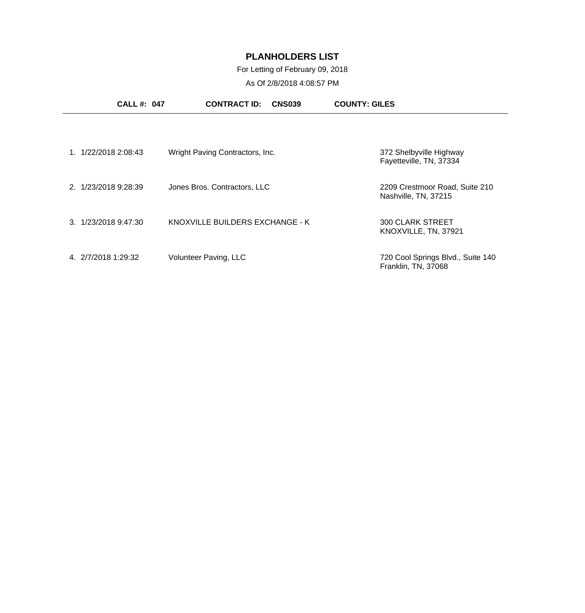For Letting of February 09, 2018

| <b>CALL#: 047</b>    | <b>CONTRACT ID:</b><br><b>CNS039</b> | <b>COUNTY: GILES</b>                                     |
|----------------------|--------------------------------------|----------------------------------------------------------|
|                      |                                      |                                                          |
| 1. 1/22/2018 2:08:43 | Wright Paving Contractors, Inc.      | 372 Shelbyville Highway<br>Fayetteville, TN, 37334       |
| 2. 1/23/2018 9:28:39 | Jones Bros. Contractors, LLC         | 2209 Crestmoor Road, Suite 210<br>Nashville, TN, 37215   |
| 3. 1/23/2018 9:47:30 | KNOXVILLE BUILDERS EXCHANGE - K      | <b>300 CLARK STREET</b><br>KNOXVILLE, TN, 37921          |
| 4. 2/7/2018 1:29:32  | Volunteer Paving, LLC                | 720 Cool Springs Blvd., Suite 140<br>Franklin, TN, 37068 |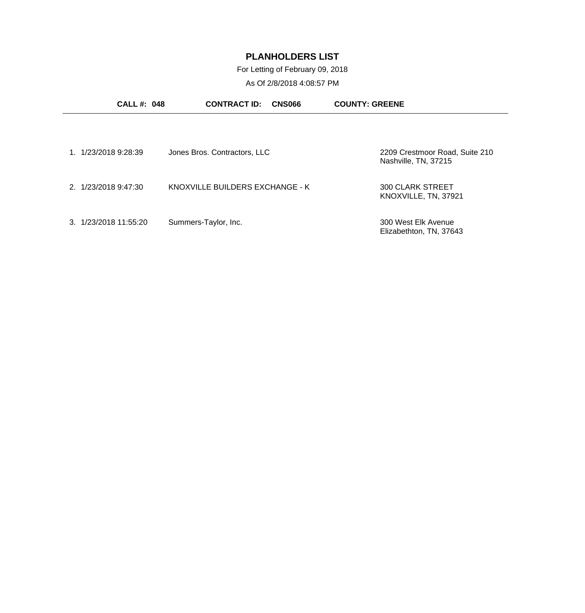For Letting of February 09, 2018

| <b>CALL#: 048</b>     | <b>CONTRACT ID:</b><br><b>CNS066</b> | <b>COUNTY: GREENE</b>                                  |
|-----------------------|--------------------------------------|--------------------------------------------------------|
|                       |                                      |                                                        |
| 1. 1/23/2018 9:28:39  | Jones Bros. Contractors, LLC         | 2209 Crestmoor Road, Suite 210<br>Nashville, TN, 37215 |
| 2. 1/23/2018 9:47:30  | KNOXVILLE BUILDERS EXCHANGE - K      | <b>300 CLARK STREET</b><br>KNOXVILLE, TN, 37921        |
| 3. 1/23/2018 11:55:20 | Summers-Taylor, Inc.                 | 300 West Elk Avenue<br>Elizabethton, TN, 37643         |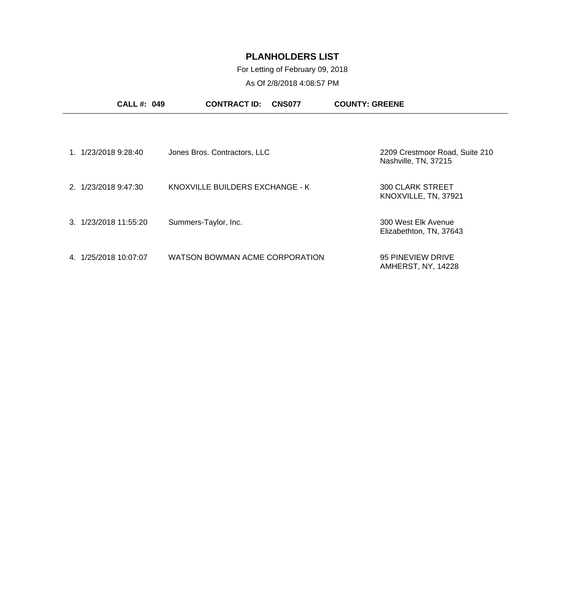For Letting of February 09, 2018

| <b>CALL#: 049</b>        | <b>CONTRACT ID:</b><br><b>CNS077</b> | <b>COUNTY: GREENE</b>                                  |
|--------------------------|--------------------------------------|--------------------------------------------------------|
| 1. 1/23/2018 9:28:40     | Jones Bros. Contractors, LLC         | 2209 Crestmoor Road, Suite 210<br>Nashville, TN, 37215 |
| 2. 1/23/2018 9:47:30     | KNOXVILLE BUILDERS EXCHANGE - K      | <b>300 CLARK STREET</b><br>KNOXVILLE, TN, 37921        |
| 3. 1/23/2018 11:55:20    | Summers-Taylor, Inc.                 | 300 West Elk Avenue<br>Elizabethton, TN, 37643         |
| 1/25/2018 10:07:07<br>4. | WATSON BOWMAN ACME CORPORATION       | 95 PINEVIEW DRIVE<br>AMHERST, NY, 14228                |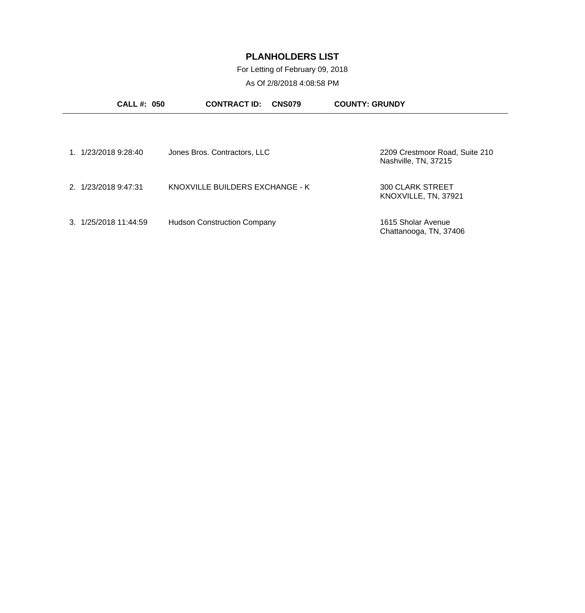For Letting of February 09, 2018

| <b>CALL #: 050</b>    | <b>CONTRACT ID:</b><br><b>CNS079</b> | <b>COUNTY: GRUNDY</b>                                  |
|-----------------------|--------------------------------------|--------------------------------------------------------|
|                       |                                      |                                                        |
| 1. 1/23/2018 9:28:40  | Jones Bros. Contractors, LLC         | 2209 Crestmoor Road, Suite 210<br>Nashville, TN, 37215 |
| 2. 1/23/2018 9:47:31  | KNOXVILLE BUILDERS EXCHANGE - K      | <b>300 CLARK STREET</b><br>KNOXVILLE, TN, 37921        |
| 3. 1/25/2018 11:44:59 | <b>Hudson Construction Company</b>   | 1615 Sholar Avenue<br>Chattanooga, TN, 37406           |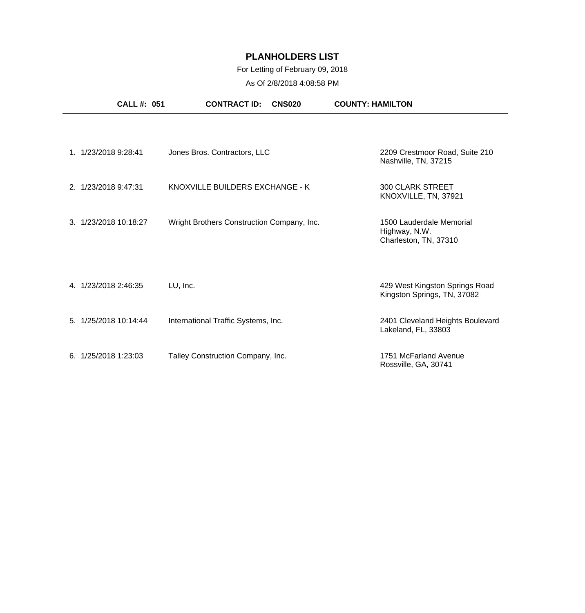### For Letting of February 09, 2018

|                       | <b>CALL #: 051</b> | <b>CONTRACT ID:</b>                        | <b>CNS020</b> | <b>COUNTY: HAMILTON</b>                                            |
|-----------------------|--------------------|--------------------------------------------|---------------|--------------------------------------------------------------------|
| 1. 1/23/2018 9:28:41  |                    | Jones Bros. Contractors, LLC               |               | 2209 Crestmoor Road, Suite 210<br>Nashville, TN, 37215             |
| 2. 1/23/2018 9:47:31  |                    | KNOXVILLE BUILDERS EXCHANGE - K            |               | <b>300 CLARK STREET</b><br>KNOXVILLE, TN, 37921                    |
| 3. 1/23/2018 10:18:27 |                    | Wright Brothers Construction Company, Inc. |               | 1500 Lauderdale Memorial<br>Highway, N.W.<br>Charleston, TN, 37310 |
| 4. 1/23/2018 2:46:35  | LU, Inc.           |                                            |               | 429 West Kingston Springs Road<br>Kingston Springs, TN, 37082      |
| 5. 1/25/2018 10:14:44 |                    | International Traffic Systems, Inc.        |               | 2401 Cleveland Heights Boulevard<br>Lakeland, FL, 33803            |
| 6.1/25/20181:23:03    |                    | Talley Construction Company, Inc.          |               | 1751 McFarland Avenue<br>Rossville, GA, 30741                      |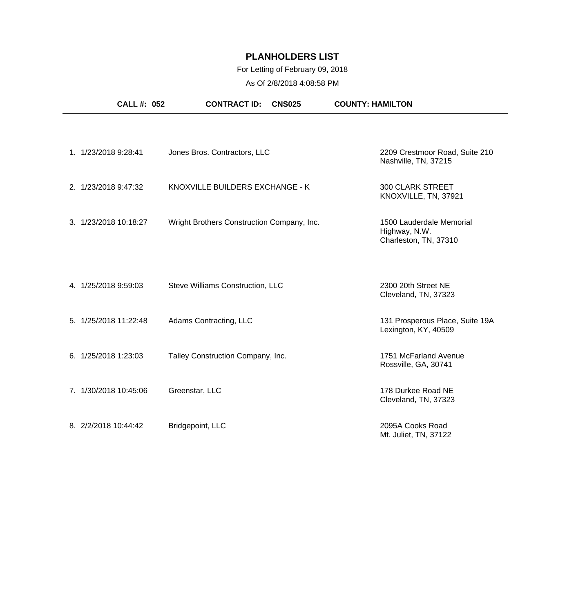### For Letting of February 09, 2018

| <b>CALL #: 052</b>    | <b>CONTRACT ID:</b><br><b>CNS025</b>       | <b>COUNTY: HAMILTON</b>                                            |
|-----------------------|--------------------------------------------|--------------------------------------------------------------------|
|                       |                                            |                                                                    |
| 1. 1/23/2018 9:28:41  | Jones Bros. Contractors, LLC               | 2209 Crestmoor Road, Suite 210<br>Nashville, TN, 37215             |
| 2. 1/23/2018 9:47:32  | KNOXVILLE BUILDERS EXCHANGE - K            | <b>300 CLARK STREET</b><br>KNOXVILLE, TN, 37921                    |
| 3. 1/23/2018 10:18:27 | Wright Brothers Construction Company, Inc. | 1500 Lauderdale Memorial<br>Highway, N.W.<br>Charleston, TN, 37310 |
| 4. 1/25/2018 9:59:03  | Steve Williams Construction, LLC           | 2300 20th Street NE<br>Cleveland, TN, 37323                        |
| 5. 1/25/2018 11:22:48 | Adams Contracting, LLC                     | 131 Prosperous Place, Suite 19A<br>Lexington, KY, 40509            |
| 6. 1/25/2018 1:23:03  | Talley Construction Company, Inc.          | 1751 McFarland Avenue<br>Rossville, GA, 30741                      |
| 7. 1/30/2018 10:45:06 | Greenstar, LLC                             | 178 Durkee Road NE<br>Cleveland, TN, 37323                         |
| 8. 2/2/2018 10:44:42  | Bridgepoint, LLC                           | 2095A Cooks Road<br>Mt. Juliet, TN, 37122                          |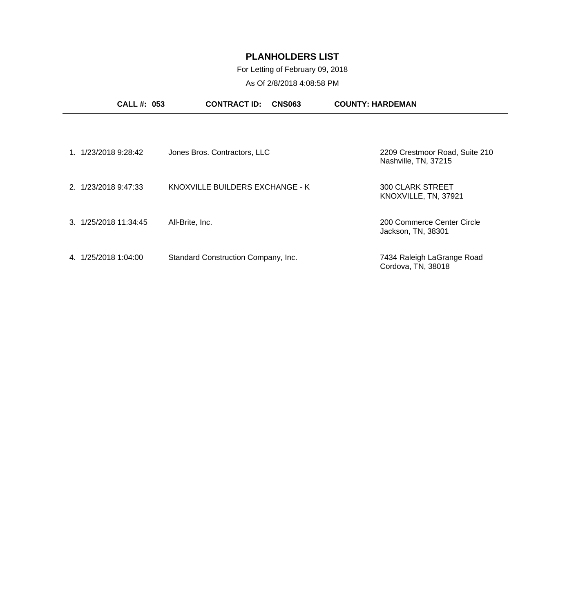### For Letting of February 09, 2018

|                                | <b>CALL #: 053</b><br><b>CONTRACT ID:</b><br><b>CNS063</b> | <b>COUNTY: HARDEMAN</b>                                |
|--------------------------------|------------------------------------------------------------|--------------------------------------------------------|
|                                |                                                            |                                                        |
| 1. 1/23/2018 9:28:42           | Jones Bros. Contractors, LLC                               | 2209 Crestmoor Road, Suite 210<br>Nashville, TN, 37215 |
| 2. 1/23/2018 9:47:33           | KNOXVILLE BUILDERS EXCHANGE - K                            | <b>300 CLARK STREET</b><br>KNOXVILLE, TN, 37921        |
| $3. \frac{1}{25}/201811:34:45$ | All-Brite, Inc.                                            | 200 Commerce Center Circle<br>Jackson, TN, 38301       |
| 1/25/2018 1:04:00<br>4.        | Standard Construction Company, Inc.                        | 7434 Raleigh LaGrange Road<br>Cordova, TN, 38018       |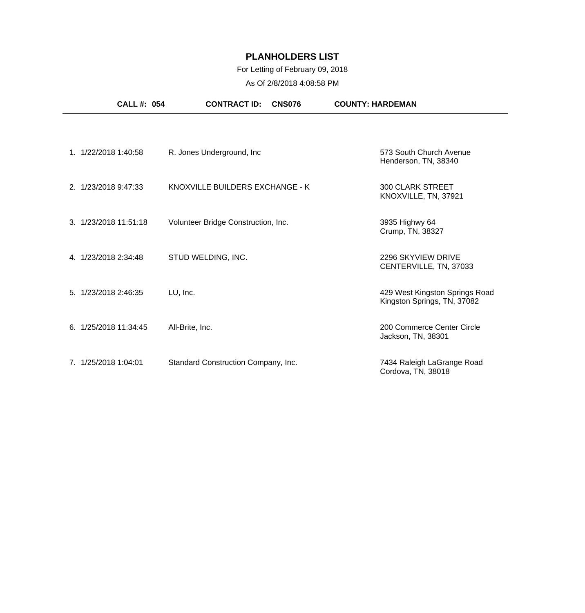### For Letting of February 09, 2018

|    | <b>CALL #: 054</b>    | <b>CONTRACT ID:</b><br><b>CNS076</b> | <b>COUNTY: HARDEMAN</b>                                       |
|----|-----------------------|--------------------------------------|---------------------------------------------------------------|
|    | 1. 1/22/2018 1:40:58  | R. Jones Underground, Inc.           | 573 South Church Avenue<br>Henderson, TN, 38340               |
|    | 2. 1/23/2018 9:47:33  | KNOXVILLE BUILDERS EXCHANGE - K      | <b>300 CLARK STREET</b><br>KNOXVILLE, TN, 37921               |
|    | 3. 1/23/2018 11:51:18 | Volunteer Bridge Construction, Inc.  | 3935 Highwy 64<br>Crump, TN, 38327                            |
|    | 4. 1/23/2018 2:34:48  | STUD WELDING, INC.                   | 2296 SKYVIEW DRIVE<br>CENTERVILLE, TN, 37033                  |
|    | 5. 1/23/2018 2:46:35  | LU, Inc.                             | 429 West Kingston Springs Road<br>Kingston Springs, TN, 37082 |
| 6. | 1/25/2018 11:34:45    | All-Brite, Inc.                      | 200 Commerce Center Circle<br>Jackson, TN, 38301              |
|    | 7. 1/25/2018 1:04:01  | Standard Construction Company, Inc.  | 7434 Raleigh LaGrange Road<br>Cordova, TN, 38018              |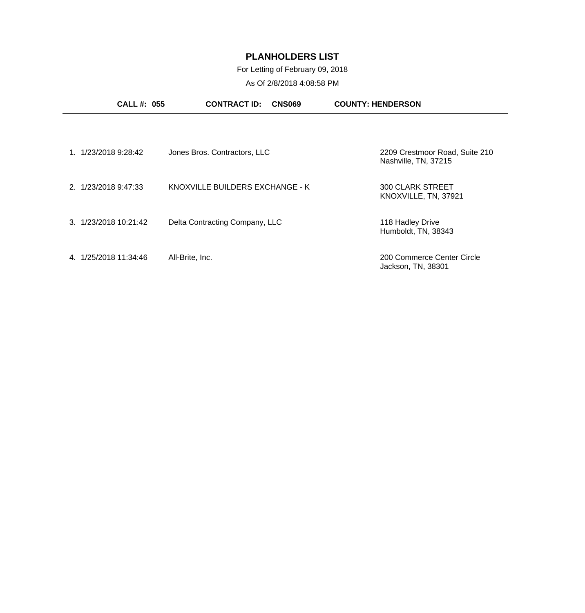For Letting of February 09, 2018

| <b>CALL #: 055</b>    | <b>CONTRACT ID:</b><br><b>CNS069</b> | <b>COUNTY: HENDERSON</b>                               |
|-----------------------|--------------------------------------|--------------------------------------------------------|
|                       |                                      |                                                        |
| 1. 1/23/2018 9:28:42  | Jones Bros. Contractors, LLC         | 2209 Crestmoor Road, Suite 210<br>Nashville, TN, 37215 |
| 2. 1/23/2018 9:47:33  | KNOXVILLE BUILDERS EXCHANGE - K      | <b>300 CLARK STREET</b><br>KNOXVILLE, TN, 37921        |
| 3. 1/23/2018 10:21:42 | Delta Contracting Company, LLC       | 118 Hadley Drive<br>Humboldt, TN, 38343                |
| 4. 1/25/2018 11:34:46 | All-Brite, Inc.                      | 200 Commerce Center Circle<br>Jackson, TN, 38301       |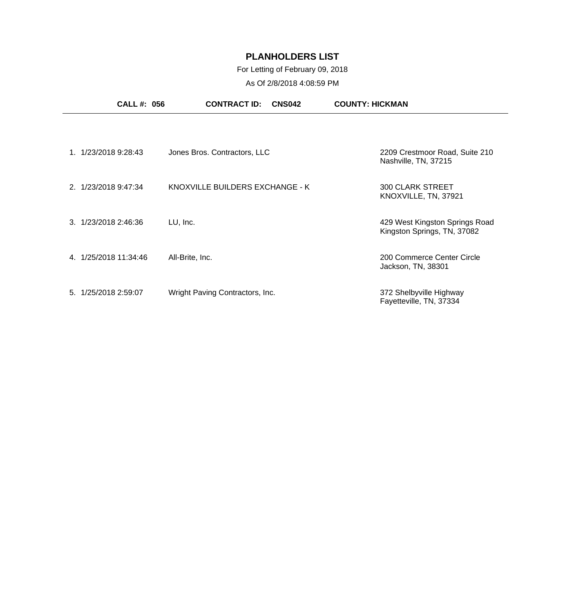### For Letting of February 09, 2018

| <b>CALL#: 056</b>     | <b>CONTRACT ID:</b><br><b>CNS042</b> | <b>COUNTY: HICKMAN</b>                                        |
|-----------------------|--------------------------------------|---------------------------------------------------------------|
|                       |                                      |                                                               |
| 1. 1/23/2018 9:28:43  | Jones Bros. Contractors, LLC         | 2209 Crestmoor Road, Suite 210<br>Nashville, TN, 37215        |
| 2. 1/23/2018 9:47:34  | KNOXVILLE BUILDERS EXCHANGE - K      | <b>300 CLARK STREET</b><br>KNOXVILLE, TN, 37921               |
| 3. 1/23/2018 2:46:36  | LU, Inc.                             | 429 West Kingston Springs Road<br>Kingston Springs, TN, 37082 |
| 4. 1/25/2018 11:34:46 | All-Brite, Inc.                      | 200 Commerce Center Circle<br>Jackson, TN, 38301              |
| 5. 1/25/2018 2:59:07  | Wright Paving Contractors, Inc.      | 372 Shelbyville Highway<br>Fayetteville, TN, 37334            |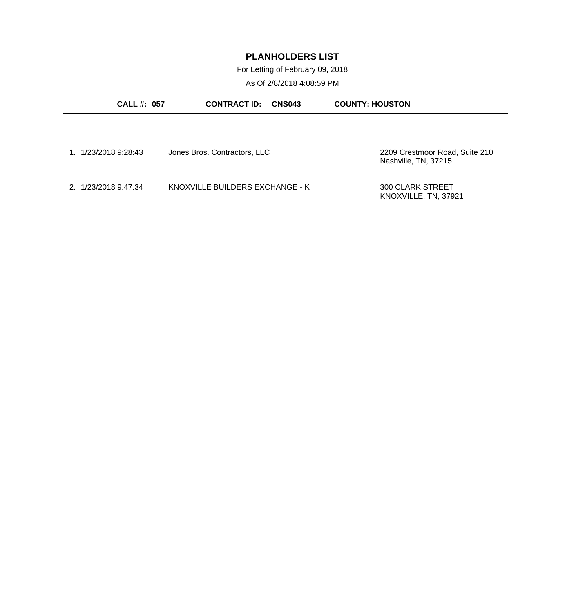For Letting of February 09, 2018

| <b>CALL #: 057</b>   | <b>CONTRACT ID:</b>             | <b>COUNTY: HOUSTON</b><br>CNS043                       |
|----------------------|---------------------------------|--------------------------------------------------------|
|                      |                                 |                                                        |
| 1. 1/23/2018 9:28:43 | Jones Bros. Contractors, LLC    | 2209 Crestmoor Road, Suite 210<br>Nashville, TN, 37215 |
| 2. 1/23/2018 9:47:34 | KNOXVILLE BUILDERS EXCHANGE - K | <b>300 CLARK STREET</b><br>KNOXVILLE, TN, 37921        |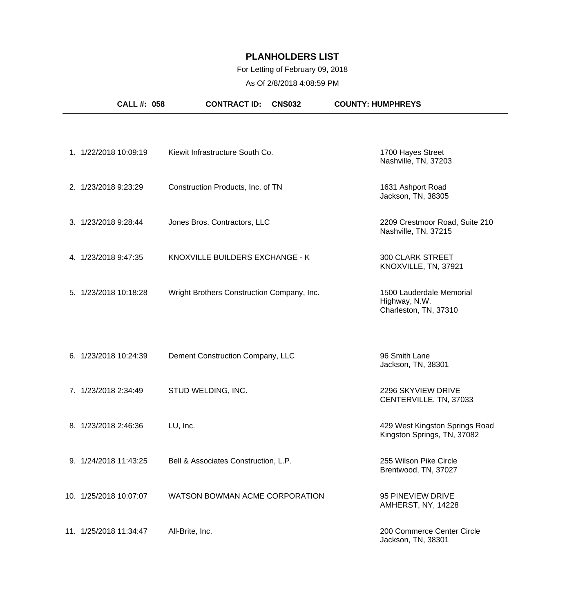### For Letting of February 09, 2018

| <b>CALL #: 058</b>     | <b>CONTRACT ID:</b>                        | <b>CNS032</b> | <b>COUNTY: HUMPHREYS</b>                                           |
|------------------------|--------------------------------------------|---------------|--------------------------------------------------------------------|
| 1. 1/22/2018 10:09:19  | Kiewit Infrastructure South Co.            |               | 1700 Hayes Street<br>Nashville, TN, 37203                          |
| 2. 1/23/2018 9:23:29   | Construction Products, Inc. of TN          |               | 1631 Ashport Road<br>Jackson, TN, 38305                            |
| 3. 1/23/2018 9:28:44   | Jones Bros. Contractors, LLC               |               | 2209 Crestmoor Road, Suite 210<br>Nashville, TN, 37215             |
| 4. 1/23/2018 9:47:35   | KNOXVILLE BUILDERS EXCHANGE - K            |               | <b>300 CLARK STREET</b><br>KNOXVILLE, TN, 37921                    |
| 5. 1/23/2018 10:18:28  | Wright Brothers Construction Company, Inc. |               | 1500 Lauderdale Memorial<br>Highway, N.W.<br>Charleston, TN, 37310 |
| 6. 1/23/2018 10:24:39  | Dement Construction Company, LLC           |               | 96 Smith Lane<br>Jackson, TN, 38301                                |
| 7. 1/23/2018 2:34:49   | STUD WELDING, INC.                         |               | 2296 SKYVIEW DRIVE<br>CENTERVILLE, TN, 37033                       |
| 8. 1/23/2018 2:46:36   | LU, Inc.                                   |               | 429 West Kingston Springs Road<br>Kingston Springs, TN, 37082      |
| 9. 1/24/2018 11:43:25  | Bell & Associates Construction, L.P.       |               | 255 Wilson Pike Circle<br>Brentwood, TN, 37027                     |
| 10. 1/25/2018 10:07:07 | WATSON BOWMAN ACME CORPORATION             |               | 95 PINEVIEW DRIVE<br>AMHERST, NY, 14228                            |
| 11. 1/25/2018 11:34:47 | All-Brite, Inc.                            |               | 200 Commerce Center Circle<br>Jackson, TN, 38301                   |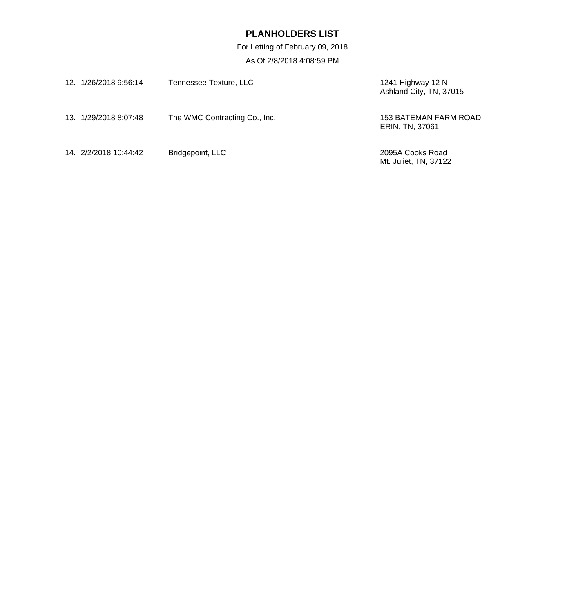For Letting of February 09, 2018

| 12. 1/26/2018 9:56:14 | Tennessee Texture, LLC        | 1241 Highway 12 N<br>Ashland City, TN, 37015 |
|-----------------------|-------------------------------|----------------------------------------------|
| 13. 1/29/2018 8:07:48 | The WMC Contracting Co., Inc. | 153 BATEMAN FARM ROAD<br>ERIN, TN, 37061     |
| 14. 2/2/2018 10:44:42 | Bridgepoint, LLC              | 2095A Cooks Road<br>Mt. Juliet, TN, 37122    |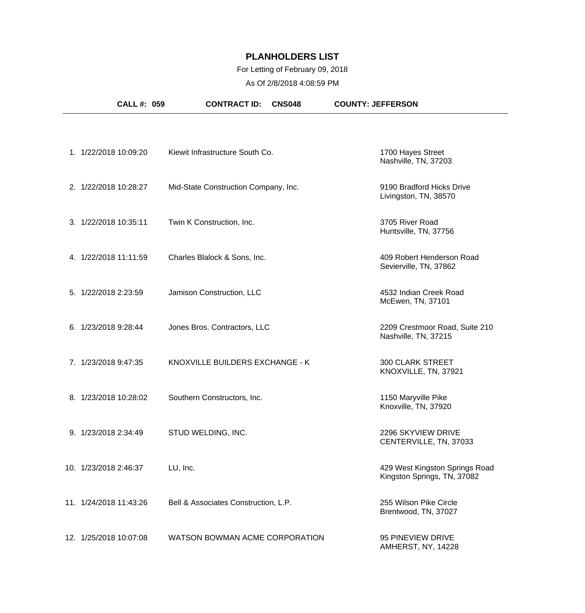### For Letting of February 09, 2018

| <b>CALL #: 059</b>     | <b>CONTRACT ID:</b><br><b>CNS048</b> | <b>COUNTY: JEFFERSON</b>                                      |
|------------------------|--------------------------------------|---------------------------------------------------------------|
|                        |                                      |                                                               |
| 1. 1/22/2018 10:09:20  | Kiewit Infrastructure South Co.      | 1700 Hayes Street<br>Nashville, TN, 37203                     |
| 2. 1/22/2018 10:28:27  | Mid-State Construction Company, Inc. | 9190 Bradford Hicks Drive<br>Livingston, TN, 38570            |
| 3. 1/22/2018 10:35:11  | Twin K Construction, Inc.            | 3705 River Road<br>Huntsville, TN, 37756                      |
| 4. 1/22/2018 11:11:59  | Charles Blalock & Sons, Inc.         | 409 Robert Henderson Road<br>Sevierville, TN, 37862           |
| 5. 1/22/2018 2:23:59   | Jamison Construction, LLC            | 4532 Indian Creek Road<br>McEwen, TN, 37101                   |
| 6. 1/23/2018 9:28:44   | Jones Bros. Contractors, LLC         | 2209 Crestmoor Road, Suite 210<br>Nashville, TN, 37215        |
| 7. 1/23/2018 9:47:35   | KNOXVILLE BUILDERS EXCHANGE - K      | <b>300 CLARK STREET</b><br>KNOXVILLE, TN, 37921               |
| 8. 1/23/2018 10:28:02  | Southern Constructors, Inc.          | 1150 Maryville Pike<br>Knoxville, TN, 37920                   |
| 9. 1/23/2018 2:34:49   | STUD WELDING, INC.                   | 2296 SKYVIEW DRIVE<br>CENTERVILLE, TN, 37033                  |
| 10. 1/23/2018 2:46:37  | LU, Inc.                             | 429 West Kingston Springs Road<br>Kingston Springs, TN, 37082 |
| 11. 1/24/2018 11:43:26 | Bell & Associates Construction, L.P. | 255 Wilson Pike Circle<br>Brentwood, TN, 37027                |
| 12. 1/25/2018 10:07:08 | WATSON BOWMAN ACME CORPORATION       | 95 PINEVIEW DRIVE<br>AMHERST, NY, 14228                       |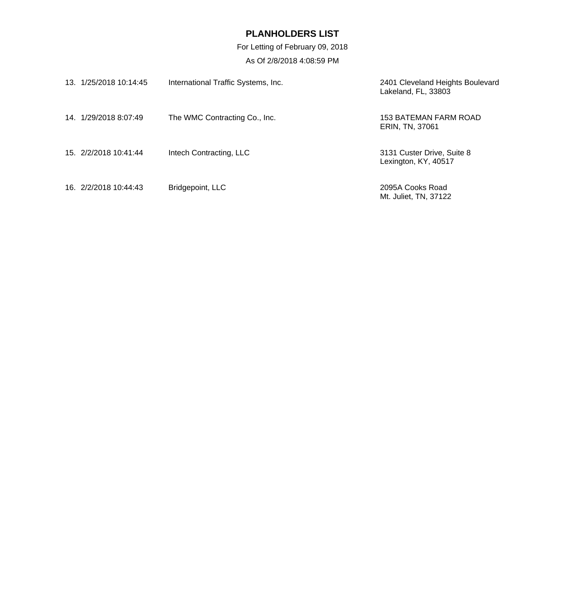For Letting of February 09, 2018

| 13. 1/25/2018 10:14:45 | International Traffic Systems, Inc. | 2401 Cleveland Heights Boulevard<br>Lakeland, FL, 33803 |
|------------------------|-------------------------------------|---------------------------------------------------------|
| 14. 1/29/2018 8:07:49  | The WMC Contracting Co., Inc.       | 153 BATEMAN FARM ROAD<br>ERIN, TN, 37061                |
| 15 2/2/2018 10:41:44   | Intech Contracting, LLC             | 3131 Custer Drive, Suite 8<br>Lexington, KY, 40517      |
| 16. 2/2/2018 10:44:43  | Bridgepoint, LLC                    | 2095A Cooks Road<br>Mt. Juliet, TN, 37122               |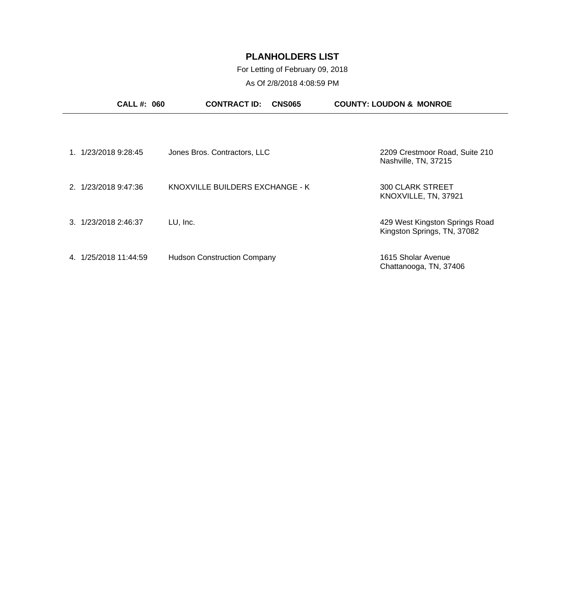### For Letting of February 09, 2018

| <b>CALL #: 060</b>      | <b>CONTRACT ID:</b><br><b>CNS065</b> | <b>COUNTY: LOUDON &amp; MONROE</b>                            |
|-------------------------|--------------------------------------|---------------------------------------------------------------|
|                         |                                      |                                                               |
| 1/23/2018 9:28:45       | Jones Bros. Contractors, LLC         | 2209 Crestmoor Road, Suite 210<br>Nashville, TN, 37215        |
| 2. 1/23/2018 9:47:36    | KNOXVILLE BUILDERS EXCHANGE - K      | <b>300 CLARK STREET</b><br>KNOXVILLE, TN, 37921               |
| 3. 1/23/2018 2:46:37    | LU, Inc.                             | 429 West Kingston Springs Road<br>Kingston Springs, TN, 37082 |
| 1/25/2018 11:44:59<br>4 | <b>Hudson Construction Company</b>   | 1615 Sholar Avenue<br>Chattanooga, TN, 37406                  |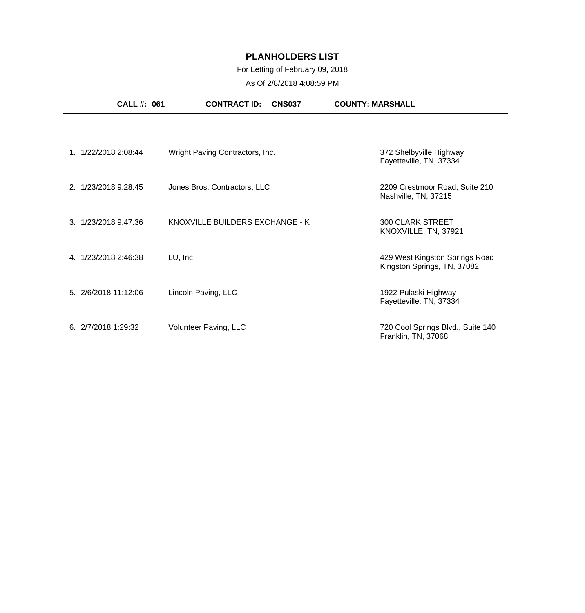### For Letting of February 09, 2018

| <b>CALL #: 061</b>   | <b>CONTRACT ID:</b><br><b>CNS037</b> | <b>COUNTY: MARSHALL</b>                                       |
|----------------------|--------------------------------------|---------------------------------------------------------------|
|                      |                                      |                                                               |
| 1. 1/22/2018 2:08:44 | Wright Paving Contractors, Inc.      | 372 Shelbyville Highway<br>Fayetteville, TN, 37334            |
| 2. 1/23/2018 9:28:45 | Jones Bros. Contractors, LLC         | 2209 Crestmoor Road, Suite 210<br>Nashville, TN, 37215        |
| 3. 1/23/2018 9:47:36 | KNOXVILLE BUILDERS EXCHANGE - K      | <b>300 CLARK STREET</b><br>KNOXVILLE, TN, 37921               |
| 4. 1/23/2018 2:46:38 | LU, Inc.                             | 429 West Kingston Springs Road<br>Kingston Springs, TN, 37082 |
| 5. 2/6/2018 11:12:06 | Lincoln Paving, LLC                  | 1922 Pulaski Highway<br>Fayetteville, TN, 37334               |
| 6. 2/7/2018 1:29:32  | Volunteer Paving, LLC                | 720 Cool Springs Blvd., Suite 140<br>Franklin, TN, 37068      |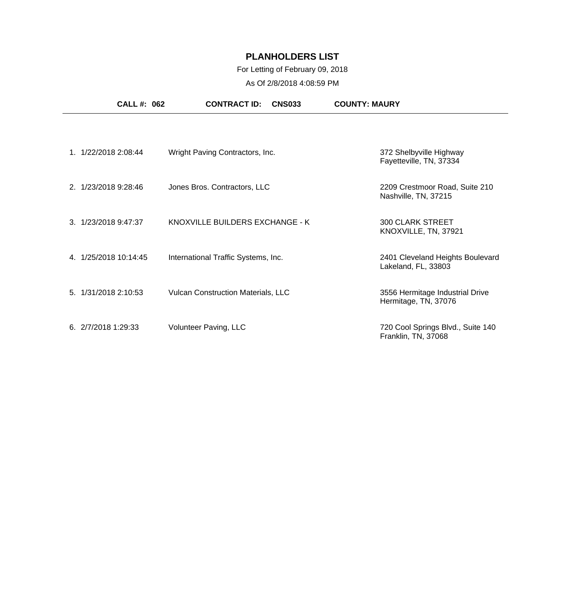### For Letting of February 09, 2018

| <b>CALL #: 062</b>   | <b>CONTRACT ID:</b><br><b>CNS033</b>      | <b>COUNTY: MAURY</b>                                     |
|----------------------|-------------------------------------------|----------------------------------------------------------|
|                      |                                           |                                                          |
| 1. 1/22/2018 2:08:44 | Wright Paving Contractors, Inc.           | 372 Shelbyville Highway<br>Fayetteville, TN, 37334       |
| 2. 1/23/2018 9:28:46 | Jones Bros. Contractors, LLC              | 2209 Crestmoor Road, Suite 210<br>Nashville, TN, 37215   |
| 3. 1/23/2018 9:47:37 | KNOXVILLE BUILDERS EXCHANGE - K           | <b>300 CLARK STREET</b><br>KNOXVILLE, TN, 37921          |
| 4 1/25/2018 10:14:45 | International Traffic Systems, Inc.       | 2401 Cleveland Heights Boulevard<br>Lakeland, FL, 33803  |
| 5. 1/31/2018 2:10:53 | <b>Vulcan Construction Materials, LLC</b> | 3556 Hermitage Industrial Drive<br>Hermitage, TN, 37076  |
| 6. 2/7/2018 1:29:33  | Volunteer Paving, LLC                     | 720 Cool Springs Blvd., Suite 140<br>Franklin, TN, 37068 |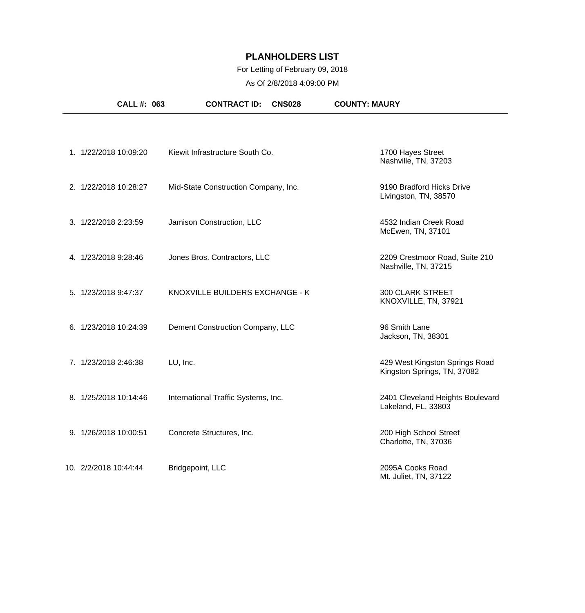### For Letting of February 09, 2018

| CALL #: 063           | <b>CONTRACT ID:</b><br><b>CNS028</b> | <b>COUNTY: MAURY</b>                                          |
|-----------------------|--------------------------------------|---------------------------------------------------------------|
|                       |                                      |                                                               |
| 1. 1/22/2018 10:09:20 | Kiewit Infrastructure South Co.      | 1700 Hayes Street<br>Nashville, TN, 37203                     |
| 2. 1/22/2018 10:28:27 | Mid-State Construction Company, Inc. | 9190 Bradford Hicks Drive<br>Livingston, TN, 38570            |
| 3. 1/22/2018 2:23:59  | Jamison Construction, LLC            | 4532 Indian Creek Road<br>McEwen, TN, 37101                   |
| 4. 1/23/2018 9:28:46  | Jones Bros. Contractors, LLC         | 2209 Crestmoor Road, Suite 210<br>Nashville, TN, 37215        |
| 5. 1/23/2018 9:47:37  | KNOXVILLE BUILDERS EXCHANGE - K      | <b>300 CLARK STREET</b><br>KNOXVILLE, TN, 37921               |
| 6. 1/23/2018 10:24:39 | Dement Construction Company, LLC     | 96 Smith Lane<br>Jackson, TN, 38301                           |
| 7. 1/23/2018 2:46:38  | LU, Inc.                             | 429 West Kingston Springs Road<br>Kingston Springs, TN, 37082 |
| 8. 1/25/2018 10:14:46 | International Traffic Systems, Inc.  | 2401 Cleveland Heights Boulevard<br>Lakeland, FL, 33803       |
| 9. 1/26/2018 10:00:51 | Concrete Structures, Inc.            | 200 High School Street<br>Charlotte, TN, 37036                |
| 10. 2/2/2018 10:44:44 | Bridgepoint, LLC                     | 2095A Cooks Road<br>Mt. Juliet, TN, 37122                     |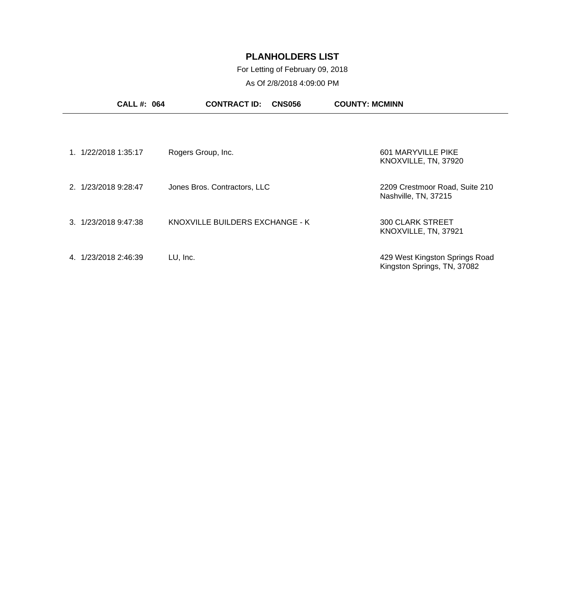### For Letting of February 09, 2018

| <b>CALL #: 064</b>     | <b>CONTRACT ID:</b><br><b>CNS056</b> | <b>COUNTY: MCMINN</b>                                         |
|------------------------|--------------------------------------|---------------------------------------------------------------|
|                        |                                      |                                                               |
| 1/22/2018 1:35:17      | Rogers Group, Inc.                   | 601 MARYVILLE PIKE<br>KNOXVILLE, TN, 37920                    |
| 2. 1/23/2018 9:28:47   | Jones Bros. Contractors, LLC         | 2209 Crestmoor Road, Suite 210<br>Nashville, TN, 37215        |
| 3. 1/23/2018 9:47:38   | KNOXVILLE BUILDERS EXCHANGE - K      | <b>300 CLARK STREET</b><br>KNOXVILLE, TN, 37921               |
| 1/23/2018 2:46:39<br>4 | LU, Inc.                             | 429 West Kingston Springs Road<br>Kingston Springs, TN, 37082 |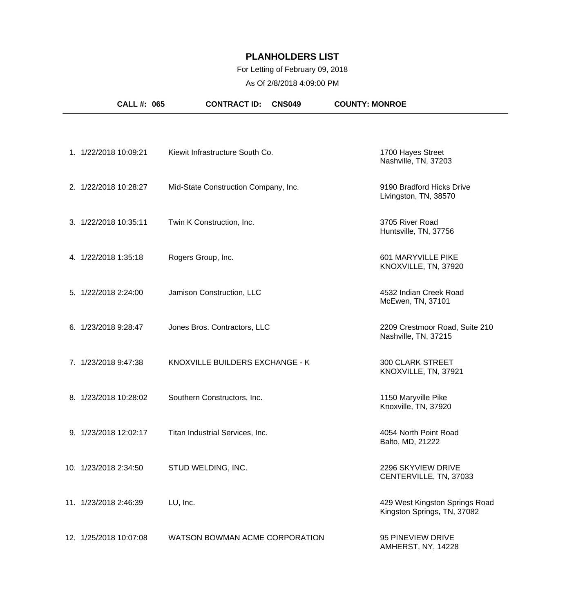### For Letting of February 09, 2018

| CALL #: 065            | <b>CONTRACT ID:</b><br><b>CNS049</b> | <b>COUNTY: MONROE</b>                                         |
|------------------------|--------------------------------------|---------------------------------------------------------------|
|                        |                                      |                                                               |
| 1. 1/22/2018 10:09:21  | Kiewit Infrastructure South Co.      | 1700 Hayes Street<br>Nashville, TN, 37203                     |
| 2. 1/22/2018 10:28:27  | Mid-State Construction Company, Inc. | 9190 Bradford Hicks Drive<br>Livingston, TN, 38570            |
| 3. 1/22/2018 10:35:11  | Twin K Construction, Inc.            | 3705 River Road<br>Huntsville, TN, 37756                      |
| 4. 1/22/2018 1:35:18   | Rogers Group, Inc.                   | 601 MARYVILLE PIKE<br>KNOXVILLE, TN, 37920                    |
| 5. 1/22/2018 2:24:00   | Jamison Construction, LLC            | 4532 Indian Creek Road<br>McEwen, TN, 37101                   |
| 6. 1/23/2018 9:28:47   | Jones Bros. Contractors, LLC         | 2209 Crestmoor Road, Suite 210<br>Nashville, TN, 37215        |
| 7. 1/23/2018 9:47:38   | KNOXVILLE BUILDERS EXCHANGE - K      | <b>300 CLARK STREET</b><br>KNOXVILLE, TN, 37921               |
| 8. 1/23/2018 10:28:02  | Southern Constructors, Inc.          | 1150 Maryville Pike<br>Knoxville, TN, 37920                   |
| 9. 1/23/2018 12:02:17  | Titan Industrial Services, Inc.      | 4054 North Point Road<br>Balto, MD, 21222                     |
| 10. 1/23/2018 2:34:50  | STUD WELDING, INC.                   | 2296 SKYVIEW DRIVE<br>CENTERVILLE, TN, 37033                  |
| 11. 1/23/2018 2:46:39  | LU, Inc.                             | 429 West Kingston Springs Road<br>Kingston Springs, TN, 37082 |
| 12. 1/25/2018 10:07:08 | WATSON BOWMAN ACME CORPORATION       | 95 PINEVIEW DRIVE<br>AMHERST, NY, 14228                       |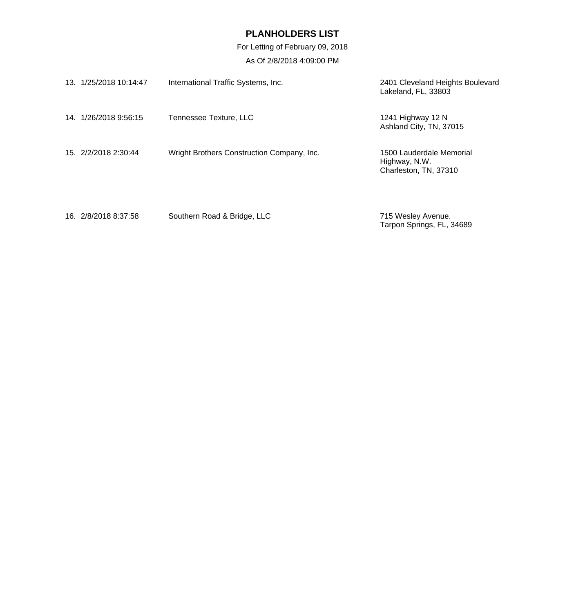For Letting of February 09, 2018

| 13. 1/25/2018 10:14:47 | International Traffic Systems, Inc.        | 2401 Cleveland Heights Boulevard<br>Lakeland, FL, 33803            |
|------------------------|--------------------------------------------|--------------------------------------------------------------------|
| 14. 1/26/2018 9:56:15  | Tennessee Texture, LLC                     | 1241 Highway 12 N<br>Ashland City, TN, 37015                       |
| 15. 2/2/2018 2:30:44   | Wright Brothers Construction Company, Inc. | 1500 Lauderdale Memorial<br>Highway, N.W.<br>Charleston, TN, 37310 |
| 16. 2/8/2018 8:37:58   | Southern Road & Bridge, LLC                | 715 Wesley Avenue.<br>Tarpon Springs, FL, 34689                    |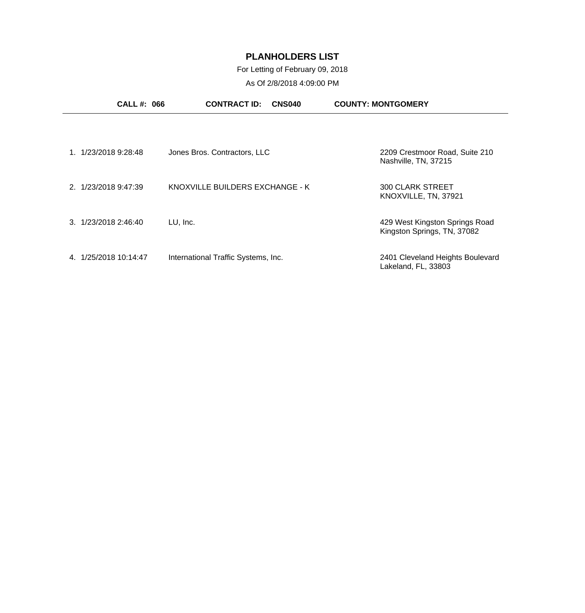### For Letting of February 09, 2018

|                         | <b>CALL#: 066</b>            | <b>CONTRACT ID:</b><br>CNS040       | <b>COUNTY: MONTGOMERY</b>                                     |
|-------------------------|------------------------------|-------------------------------------|---------------------------------------------------------------|
|                         |                              |                                     |                                                               |
| 1/23/2018 9:28:48       | Jones Bros. Contractors, LLC |                                     | 2209 Crestmoor Road, Suite 210<br>Nashville, TN, 37215        |
| 2. 1/23/2018 9:47:39    |                              | KNOXVILLE BUILDERS EXCHANGE - K     | 300 CLARK STREET<br>KNOXVILLE, TN, 37921                      |
| 3. 1/23/2018 2:46:40    | LU, Inc.                     |                                     | 429 West Kingston Springs Road<br>Kingston Springs, TN, 37082 |
| 1/25/2018 10:14:47<br>4 |                              | International Traffic Systems, Inc. | 2401 Cleveland Heights Boulevard<br>Lakeland, FL, 33803       |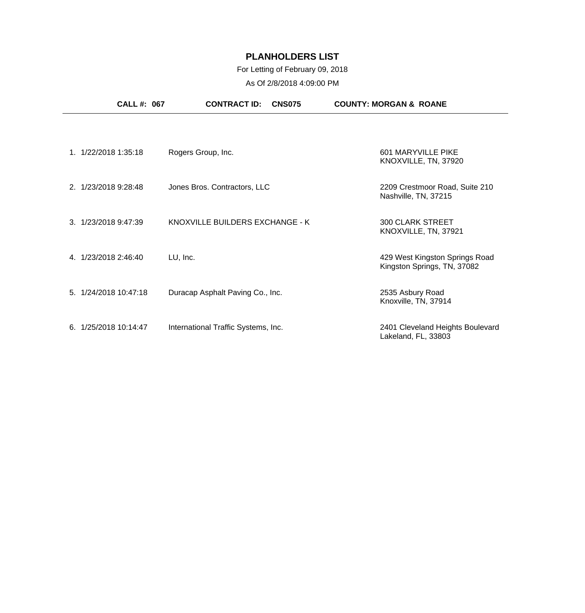### For Letting of February 09, 2018

| <b>CALL #: 067</b>    | <b>CONTRACT ID:</b><br><b>CNS075</b> | <b>COUNTY: MORGAN &amp; ROANE</b>                             |
|-----------------------|--------------------------------------|---------------------------------------------------------------|
|                       |                                      |                                                               |
| 1. 1/22/2018 1:35:18  | Rogers Group, Inc.                   | 601 MARYVILLE PIKE<br>KNOXVILLE, TN, 37920                    |
| 2. 1/23/2018 9:28:48  | Jones Bros. Contractors, LLC         | 2209 Crestmoor Road, Suite 210<br>Nashville, TN, 37215        |
| 3. 1/23/2018 9:47:39  | KNOXVILLE BUILDERS EXCHANGE - K      | <b>300 CLARK STREET</b><br>KNOXVILLE, TN, 37921               |
| 4. 1/23/2018 2:46:40  | LU, Inc.                             | 429 West Kingston Springs Road<br>Kingston Springs, TN, 37082 |
| 5. 1/24/2018 10:47:18 | Duracap Asphalt Paving Co., Inc.     | 2535 Asbury Road<br>Knoxville, TN, 37914                      |
| 6. 1/25/2018 10:14:47 | International Traffic Systems, Inc.  | 2401 Cleveland Heights Boulevard<br>Lakeland, FL, 33803       |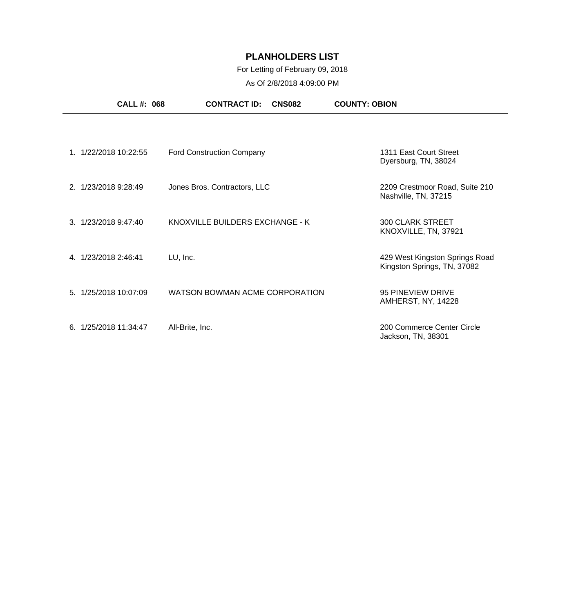### For Letting of February 09, 2018

| <b>CALL#: 068</b>     | <b>CONTRACT ID:</b><br><b>CNS082</b> | <b>COUNTY: OBION</b>                                          |
|-----------------------|--------------------------------------|---------------------------------------------------------------|
|                       |                                      |                                                               |
| 1. 1/22/2018 10:22:55 | <b>Ford Construction Company</b>     | 1311 East Court Street<br>Dyersburg, TN, 38024                |
| 2. 1/23/2018 9:28:49  | Jones Bros. Contractors, LLC         | 2209 Crestmoor Road, Suite 210<br>Nashville, TN, 37215        |
| 3. 1/23/2018 9:47:40  | KNOXVILLE BUILDERS EXCHANGE - K      | <b>300 CLARK STREET</b><br>KNOXVILLE, TN, 37921               |
| 4. 1/23/2018 2:46:41  | LU, Inc.                             | 429 West Kingston Springs Road<br>Kingston Springs, TN, 37082 |
| 5. 1/25/2018 10:07:09 | WATSON BOWMAN ACME CORPORATION       | 95 PINEVIEW DRIVE<br>AMHERST, NY, 14228                       |
| 6. 1/25/2018 11:34:47 | All-Brite, Inc.                      | 200 Commerce Center Circle<br>Jackson, TN, 38301              |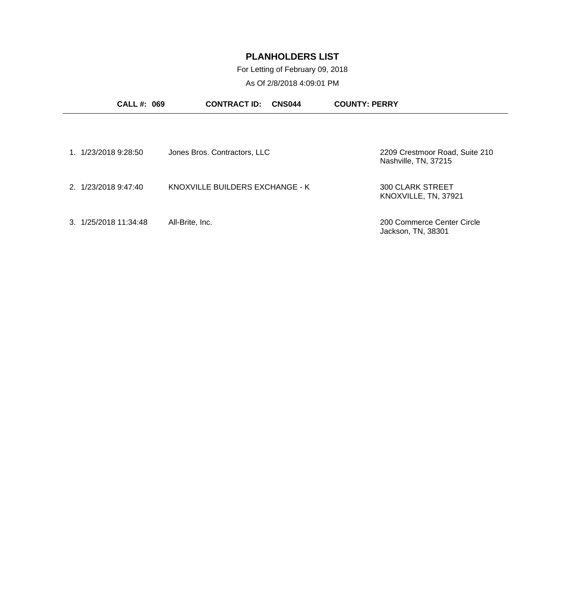For Letting of February 09, 2018

| <b>CALL#: 069</b>     | <b>CONTRACT ID:</b><br>CNS044   | <b>COUNTY: PERRY</b>                                   |
|-----------------------|---------------------------------|--------------------------------------------------------|
|                       |                                 |                                                        |
| 1. 1/23/2018 9:28:50  | Jones Bros. Contractors, LLC    | 2209 Crestmoor Road, Suite 210<br>Nashville, TN, 37215 |
| 2. 1/23/2018 9:47:40  | KNOXVILLE BUILDERS EXCHANGE - K | <b>300 CLARK STREET</b><br>KNOXVILLE, TN, 37921        |
| 3. 1/25/2018 11:34:48 | All-Brite, Inc.                 | 200 Commerce Center Circle<br>Jackson, TN, 38301       |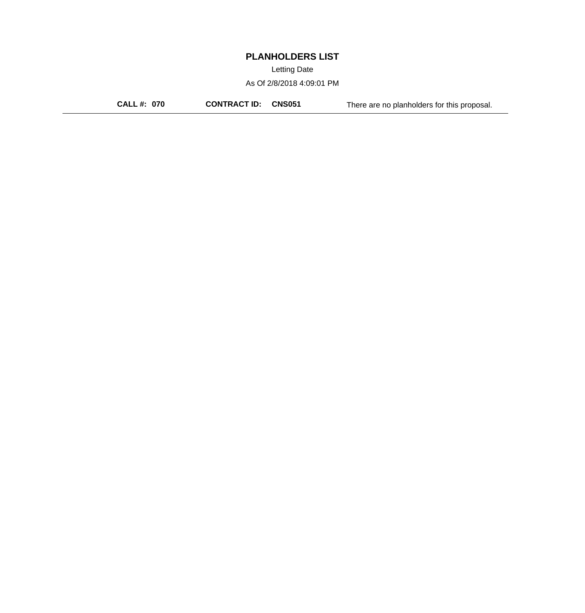Letting Date

As Of 2/8/2018 4:09:01 PM

**CALL #: 070 CONTRACT ID: CNS051** There are no planholders for this proposal.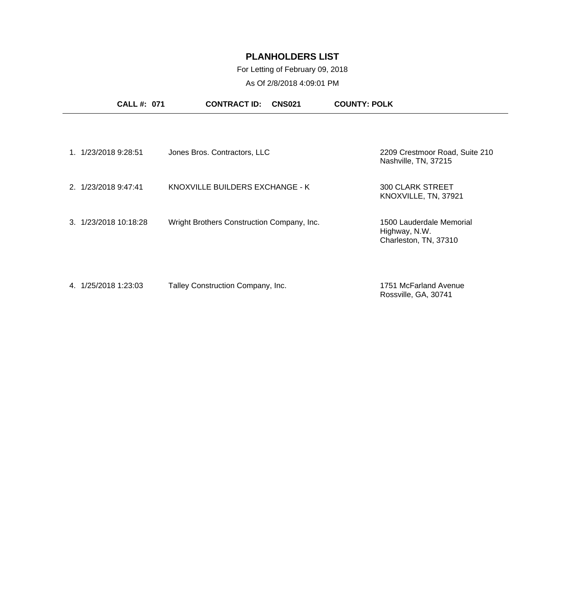### For Letting of February 09, 2018

|                       | <b>CALL #: 071</b> | <b>CONTRACT ID:</b>                        | <b>CNS021</b> | <b>COUNTY: POLK</b>                                                |  |
|-----------------------|--------------------|--------------------------------------------|---------------|--------------------------------------------------------------------|--|
|                       |                    |                                            |               |                                                                    |  |
| 1. 1/23/2018 9:28:51  |                    | Jones Bros. Contractors, LLC               |               | 2209 Crestmoor Road, Suite 210<br>Nashville, TN, 37215             |  |
| 2. 1/23/2018 9:47:41  |                    | KNOXVILLE BUILDERS EXCHANGE - K            |               | <b>300 CLARK STREET</b><br>KNOXVILLE, TN, 37921                    |  |
| 3. 1/23/2018 10:18:28 |                    | Wright Brothers Construction Company, Inc. |               | 1500 Lauderdale Memorial<br>Highway, N.W.<br>Charleston, TN, 37310 |  |
| 4. 1/25/2018 1:23:03  |                    | Talley Construction Company, Inc.          |               | 1751 McFarland Avenue<br>Rossville, GA, 30741                      |  |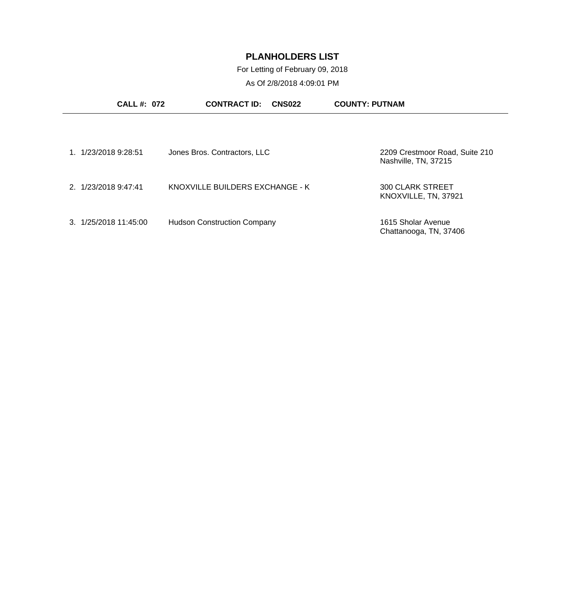For Letting of February 09, 2018

| <b>CALL #: 072</b>               | <b>CONTRACT ID:</b><br><b>CNS022</b> | <b>COUNTY: PUTNAM</b>                                  |
|----------------------------------|--------------------------------------|--------------------------------------------------------|
|                                  |                                      |                                                        |
| 1. 1/23/2018 9:28:51             | Jones Bros. Contractors, LLC         | 2209 Crestmoor Road, Suite 210<br>Nashville, TN, 37215 |
| 2. 1/23/2018 9:47:41             | KNOXVILLE BUILDERS EXCHANGE - K      | <b>300 CLARK STREET</b><br>KNOXVILLE, TN, 37921        |
| $3. \frac{1}{25}$ /2018 11:45:00 | <b>Hudson Construction Company</b>   | 1615 Sholar Avenue<br>Chattanooga, TN, 37406           |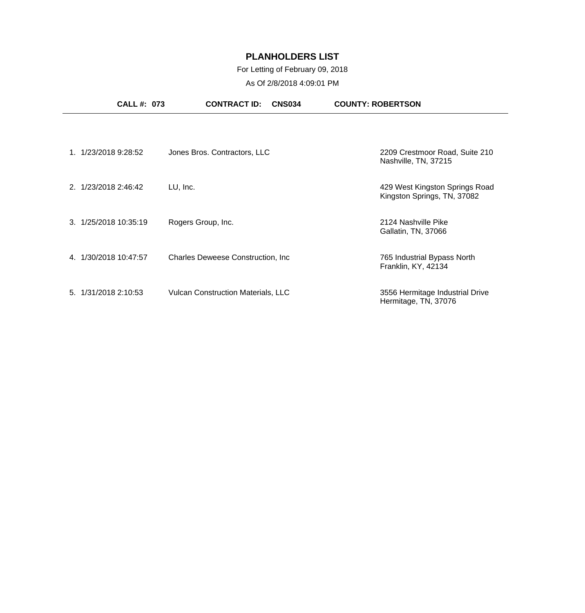### For Letting of February 09, 2018

| <b>CALL #: 073</b>    | <b>CONTRACT ID:</b><br><b>CNS034</b>      | <b>COUNTY: ROBERTSON</b>                                      |
|-----------------------|-------------------------------------------|---------------------------------------------------------------|
|                       |                                           |                                                               |
| 1. 1/23/2018 9:28:52  | Jones Bros. Contractors, LLC              | 2209 Crestmoor Road, Suite 210<br>Nashville, TN, 37215        |
| 2. 1/23/2018 2:46:42  | LU, Inc.                                  | 429 West Kingston Springs Road<br>Kingston Springs, TN, 37082 |
| 3. 1/25/2018 10:35:19 | Rogers Group, Inc.                        | 2124 Nashville Pike<br>Gallatin, TN, 37066                    |
| 4. 1/30/2018 10:47:57 | <b>Charles Deweese Construction, Inc.</b> | 765 Industrial Bypass North<br>Franklin, KY, 42134            |
| 5. 1/31/2018 2:10:53  | <b>Vulcan Construction Materials, LLC</b> | 3556 Hermitage Industrial Drive<br>Hermitage, TN, 37076       |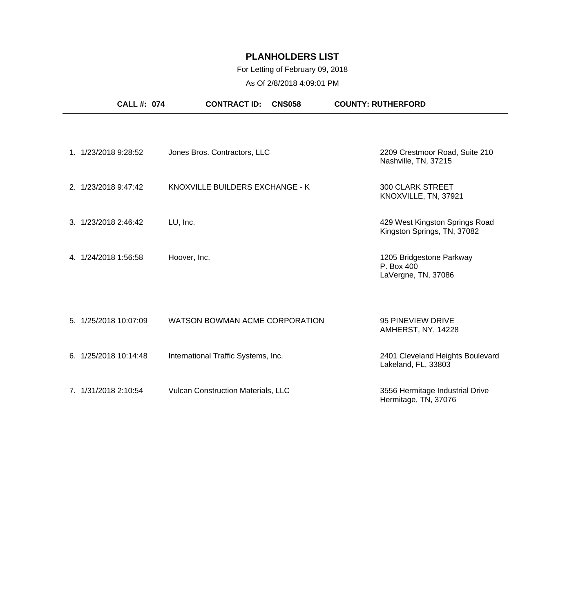### For Letting of February 09, 2018

| <b>CALL #: 074</b>    | <b>CONTRACT ID:</b><br><b>CNS058</b> | <b>COUNTY: RUTHERFORD</b>                                     |
|-----------------------|--------------------------------------|---------------------------------------------------------------|
| 1. 1/23/2018 9:28:52  | Jones Bros. Contractors, LLC         | 2209 Crestmoor Road, Suite 210<br>Nashville, TN, 37215        |
| 2. 1/23/2018 9:47:42  | KNOXVILLE BUILDERS EXCHANGE - K      | <b>300 CLARK STREET</b><br>KNOXVILLE, TN, 37921               |
| 3. 1/23/2018 2:46:42  | LU, Inc.                             | 429 West Kingston Springs Road<br>Kingston Springs, TN, 37082 |
| 4. 1/24/2018 1:56:58  | Hoover, Inc.                         | 1205 Bridgestone Parkway<br>P. Box 400<br>LaVergne, TN, 37086 |
| 5. 1/25/2018 10:07:09 | WATSON BOWMAN ACME CORPORATION       | 95 PINEVIEW DRIVE<br>AMHERST, NY, 14228                       |
| 6. 1/25/2018 10:14:48 | International Traffic Systems, Inc.  | 2401 Cleveland Heights Boulevard<br>Lakeland, FL, 33803       |
| 7. 1/31/2018 2:10:54  | Vulcan Construction Materials, LLC   | 3556 Hermitage Industrial Drive<br>Hermitage, TN, 37076       |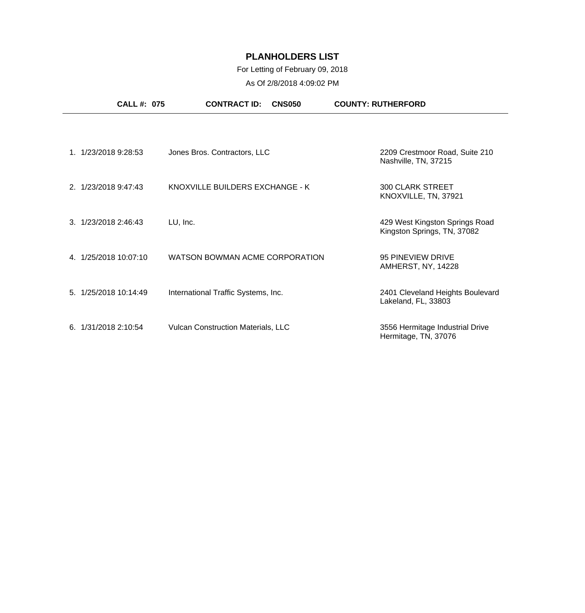### For Letting of February 09, 2018

| <b>CALL #: 075</b>    | <b>CONTRACT ID:</b><br><b>CNS050</b>      | <b>COUNTY: RUTHERFORD</b>                                     |
|-----------------------|-------------------------------------------|---------------------------------------------------------------|
|                       |                                           |                                                               |
| 1. 1/23/2018 9:28:53  | Jones Bros. Contractors, LLC              | 2209 Crestmoor Road, Suite 210<br>Nashville, TN, 37215        |
| 2. 1/23/2018 9:47:43  | KNOXVILLE BUILDERS EXCHANGE - K           | <b>300 CLARK STREET</b><br>KNOXVILLE, TN, 37921               |
| 3. 1/23/2018 2:46:43  | LU, Inc.                                  | 429 West Kingston Springs Road<br>Kingston Springs, TN, 37082 |
| 4. 1/25/2018 10:07:10 | WATSON BOWMAN ACME CORPORATION            | 95 PINEVIEW DRIVE<br>AMHERST, NY, 14228                       |
| 5. 1/25/2018 10:14:49 | International Traffic Systems, Inc.       | 2401 Cleveland Heights Boulevard<br>Lakeland, FL, 33803       |
| 6. 1/31/2018 2:10:54  | <b>Vulcan Construction Materials, LLC</b> | 3556 Hermitage Industrial Drive<br>Hermitage, TN, 37076       |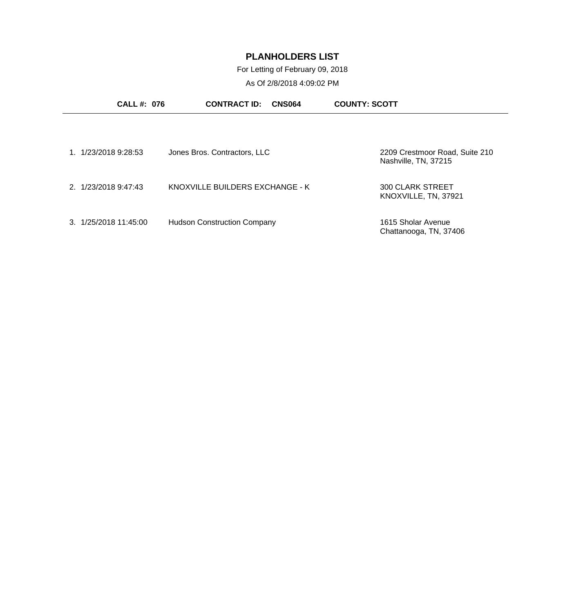For Letting of February 09, 2018

| <b>CALL #: 076</b>             | <b>CONTRACT ID:</b><br><b>CNS064</b> | <b>COUNTY: SCOTT</b>                                   |
|--------------------------------|--------------------------------------|--------------------------------------------------------|
|                                |                                      |                                                        |
| 1. 1/23/2018 9:28:53           | Jones Bros. Contractors, LLC         | 2209 Crestmoor Road, Suite 210<br>Nashville, TN, 37215 |
| 2. 1/23/2018 9:47:43           | KNOXVILLE BUILDERS EXCHANGE - K      | <b>300 CLARK STREET</b><br>KNOXVILLE, TN, 37921        |
| $3. \frac{1}{25}/201811:45:00$ | <b>Hudson Construction Company</b>   | 1615 Sholar Avenue<br>Chattanooga, TN, 37406           |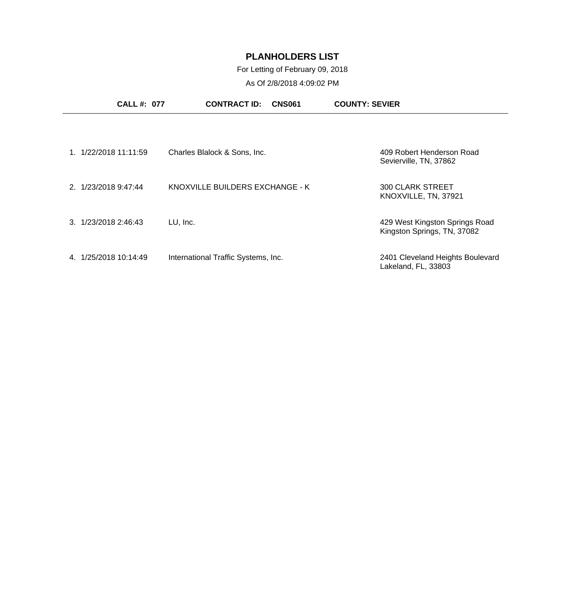For Letting of February 09, 2018

| <b>CALL #: 077</b>      | <b>CONTRACT ID:</b>                 | <b>CNS061</b> | <b>COUNTY: SEVIER</b>                                         |
|-------------------------|-------------------------------------|---------------|---------------------------------------------------------------|
|                         |                                     |               |                                                               |
| 1/22/2018 11:11:59      | Charles Blalock & Sons, Inc.        |               | 409 Robert Henderson Road<br>Sevierville, TN, 37862           |
| 2. 1/23/2018 9:47:44    | KNOXVILLE BUILDERS EXCHANGE - K     |               | 300 CLARK STREET<br>KNOXVILLE, TN, 37921                      |
| 1/23/2018 2:46:43<br>3  | LU, Inc.                            |               | 429 West Kingston Springs Road<br>Kingston Springs, TN, 37082 |
| 1/25/2018 10:14:49<br>4 | International Traffic Systems, Inc. |               | 2401 Cleveland Heights Boulevard<br>Lakeland, FL, 33803       |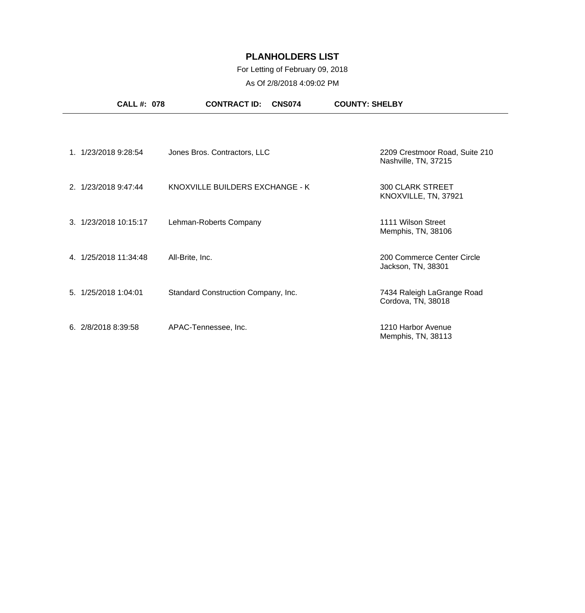### For Letting of February 09, 2018

| <b>CALL#: 078</b>     | <b>CONTRACT ID:</b><br><b>CNS074</b> | <b>COUNTY: SHELBY</b>                                  |
|-----------------------|--------------------------------------|--------------------------------------------------------|
|                       |                                      |                                                        |
| 1. 1/23/2018 9:28:54  | Jones Bros. Contractors, LLC         | 2209 Crestmoor Road, Suite 210<br>Nashville, TN, 37215 |
| 2. 1/23/2018 9:47:44  | KNOXVILLE BUILDERS EXCHANGE - K      | <b>300 CLARK STREET</b><br>KNOXVILLE, TN, 37921        |
| 3. 1/23/2018 10:15:17 | Lehman-Roberts Company               | 1111 Wilson Street<br>Memphis, TN, 38106               |
| 4. 1/25/2018 11:34:48 | All-Brite, Inc.                      | 200 Commerce Center Circle<br>Jackson, TN, 38301       |
| 5. 1/25/2018 1:04:01  | Standard Construction Company, Inc.  | 7434 Raleigh LaGrange Road<br>Cordova, TN, 38018       |
| 6. 2/8/2018 8:39:58   | APAC-Tennessee, Inc.                 | 1210 Harbor Avenue<br>Memphis, TN, 38113               |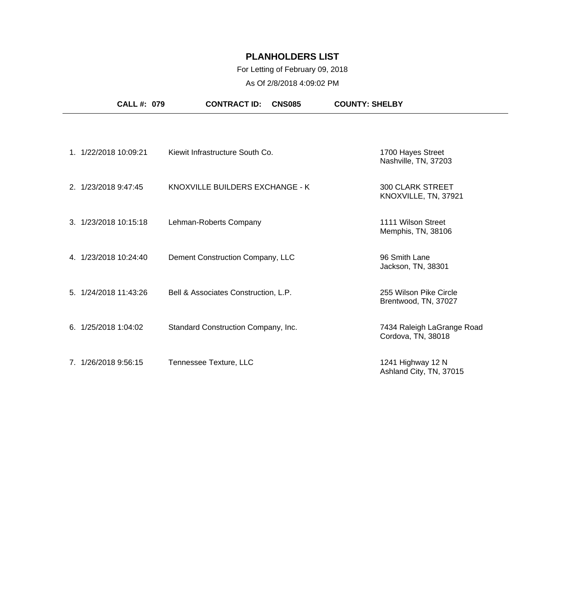### For Letting of February 09, 2018

| <b>CALL #: 079</b>    | <b>CONTRACT ID:</b><br><b>CNS085</b> | <b>COUNTY: SHELBY</b>                            |
|-----------------------|--------------------------------------|--------------------------------------------------|
|                       |                                      |                                                  |
| 1. 1/22/2018 10:09:21 | Kiewit Infrastructure South Co.      | 1700 Hayes Street<br>Nashville, TN, 37203        |
| 2. 1/23/2018 9:47:45  | KNOXVILLE BUILDERS EXCHANGE - K      | <b>300 CLARK STREET</b><br>KNOXVILLE, TN, 37921  |
| 3. 1/23/2018 10:15:18 | Lehman-Roberts Company               | 1111 Wilson Street<br>Memphis, TN, 38106         |
| 4. 1/23/2018 10:24:40 | Dement Construction Company, LLC     | 96 Smith Lane<br>Jackson, TN, 38301              |
| 5. 1/24/2018 11:43:26 | Bell & Associates Construction, L.P. | 255 Wilson Pike Circle<br>Brentwood, TN, 37027   |
| 6.1/25/20181:04:02    | Standard Construction Company, Inc.  | 7434 Raleigh LaGrange Road<br>Cordova, TN, 38018 |
| 7. 1/26/2018 9:56:15  | Tennessee Texture, LLC               | 1241 Highway 12 N<br>Ashland City, TN, 37015     |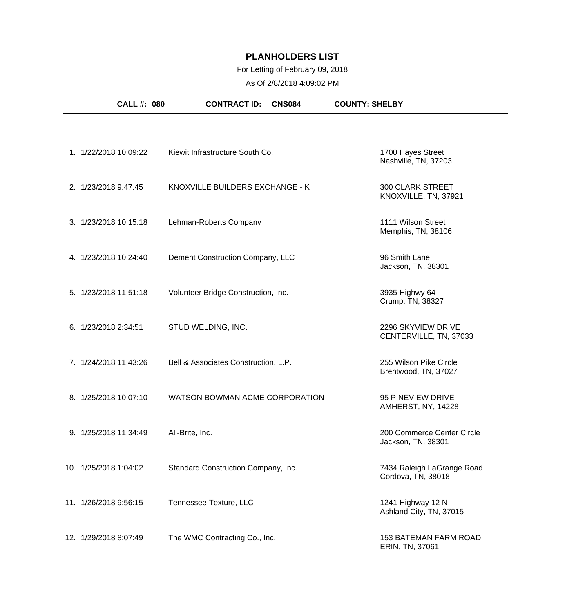### For Letting of February 09, 2018

| <b>CALL #: 080</b>    | <b>CONTRACT ID:</b><br><b>CNS084</b> | <b>COUNTY: SHELBY</b>                            |
|-----------------------|--------------------------------------|--------------------------------------------------|
|                       |                                      |                                                  |
| 1. 1/22/2018 10:09:22 | Kiewit Infrastructure South Co.      | 1700 Hayes Street<br>Nashville, TN, 37203        |
| 2. 1/23/2018 9:47:45  | KNOXVILLE BUILDERS EXCHANGE - K      | <b>300 CLARK STREET</b><br>KNOXVILLE, TN, 37921  |
| 3. 1/23/2018 10:15:18 | Lehman-Roberts Company               | 1111 Wilson Street<br>Memphis, TN, 38106         |
| 4. 1/23/2018 10:24:40 | Dement Construction Company, LLC     | 96 Smith Lane<br>Jackson, TN, 38301              |
| 5. 1/23/2018 11:51:18 | Volunteer Bridge Construction, Inc.  | 3935 Highwy 64<br>Crump, TN, 38327               |
| 6. 1/23/2018 2:34:51  | STUD WELDING, INC.                   | 2296 SKYVIEW DRIVE<br>CENTERVILLE, TN, 37033     |
| 7. 1/24/2018 11:43:26 | Bell & Associates Construction, L.P. | 255 Wilson Pike Circle<br>Brentwood, TN, 37027   |
| 8. 1/25/2018 10:07:10 | WATSON BOWMAN ACME CORPORATION       | 95 PINEVIEW DRIVE<br>AMHERST, NY, 14228          |
| 9. 1/25/2018 11:34:49 | All-Brite, Inc.                      | 200 Commerce Center Circle<br>Jackson, TN, 38301 |
| 10. 1/25/2018 1:04:02 | Standard Construction Company, Inc.  | 7434 Raleigh LaGrange Road<br>Cordova, TN, 38018 |
| 11. 1/26/2018 9:56:15 | Tennessee Texture, LLC               | 1241 Highway 12 N<br>Ashland City, TN, 37015     |
| 12. 1/29/2018 8:07:49 | The WMC Contracting Co., Inc.        | <b>153 BATEMAN FARM ROAD</b><br>ERIN, TN, 37061  |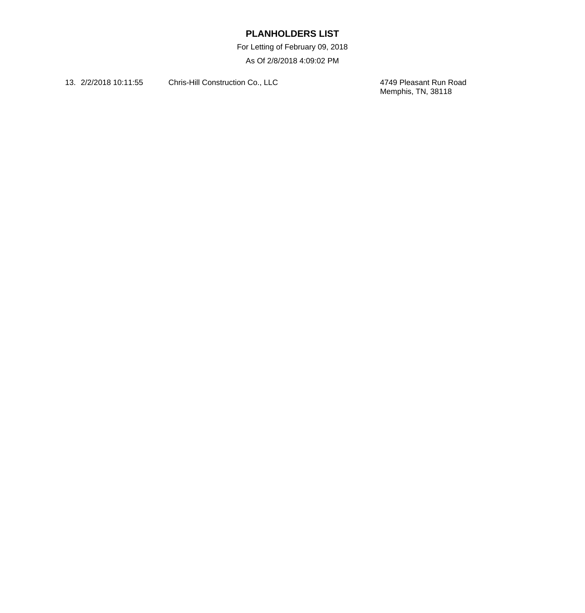For Letting of February 09, 2018

As Of 2/8/2018 4:09:02 PM

13. 2/2/2018 10:11:55 Chris-Hill Construction Co., LLC

4749 Pleasant Run Road<br>Memphis, TN, 38118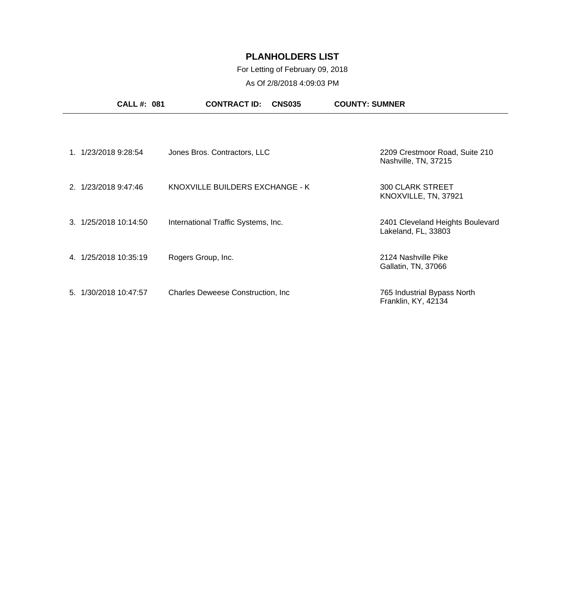### For Letting of February 09, 2018

| <b>CALL#: 081</b>        | <b>CONTRACT ID:</b><br><b>CNS035</b> | <b>COUNTY: SUMNER</b>                                   |
|--------------------------|--------------------------------------|---------------------------------------------------------|
|                          |                                      |                                                         |
| 1. 1/23/2018 9:28:54     | Jones Bros. Contractors, LLC         | 2209 Crestmoor Road, Suite 210<br>Nashville, TN, 37215  |
| 2. 1/23/2018 9:47:46     | KNOXVILLE BUILDERS EXCHANGE - K      | <b>300 CLARK STREET</b><br>KNOXVILLE, TN, 37921         |
| 3. 1/25/2018 10:14:50    | International Traffic Systems, Inc.  | 2401 Cleveland Heights Boulevard<br>Lakeland, FL, 33803 |
| 4. 1/25/2018 10:35:19    | Rogers Group, Inc.                   | 2124 Nashville Pike<br>Gallatin, TN, 37066              |
| 1/30/2018 10:47:57<br>5. | Charles Deweese Construction, Inc.   | 765 Industrial Bypass North<br>Franklin, KY, 42134      |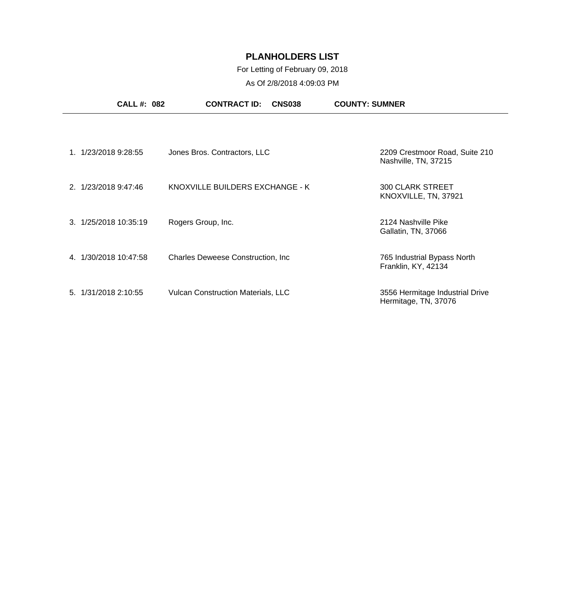### For Letting of February 09, 2018

| <b>CALL #: 082</b>    | <b>CONTRACT ID:</b><br><b>CNS038</b>      | <b>COUNTY: SUMNER</b>                                   |
|-----------------------|-------------------------------------------|---------------------------------------------------------|
|                       |                                           |                                                         |
| 1. 1/23/2018 9:28:55  | Jones Bros. Contractors, LLC              | 2209 Crestmoor Road, Suite 210<br>Nashville, TN, 37215  |
| 2. 1/23/2018 9:47:46  | KNOXVILLE BUILDERS EXCHANGE - K           | <b>300 CLARK STREET</b><br>KNOXVILLE, TN, 37921         |
| 3. 1/25/2018 10:35:19 | Rogers Group, Inc.                        | 2124 Nashville Pike<br>Gallatin, TN, 37066              |
| 4. 1/30/2018 10:47:58 | <b>Charles Deweese Construction, Inc.</b> | 765 Industrial Bypass North<br>Franklin, KY, 42134      |
| 5. 1/31/2018 2:10:55  | <b>Vulcan Construction Materials, LLC</b> | 3556 Hermitage Industrial Drive<br>Hermitage, TN, 37076 |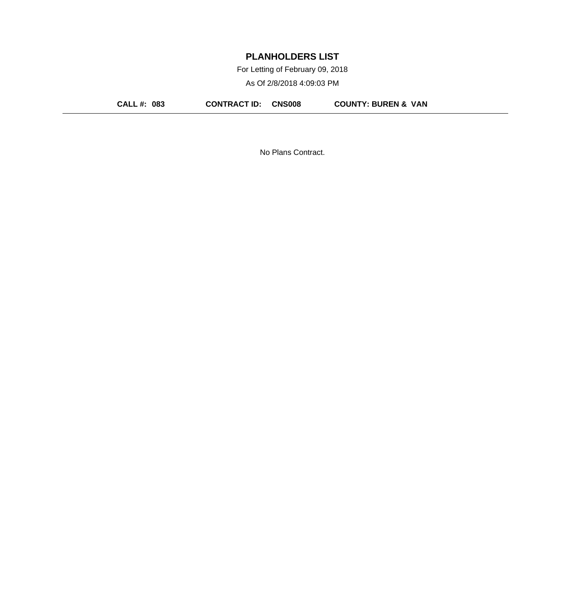For Letting of February 09, 2018

As Of 2/8/2018 4:09:03 PM

**CALL #: 083 CONTRACT ID: CNS008 COUNTY: BUREN & VAN**

No Plans Contract.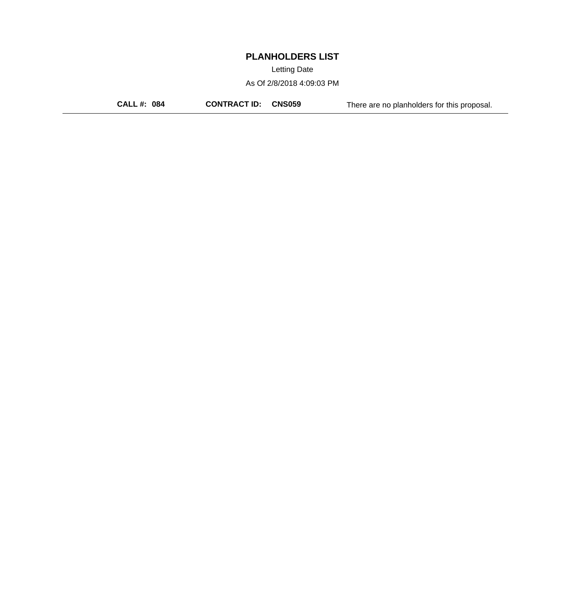Letting Date

As Of 2/8/2018 4:09:03 PM

**CALL #: 084 CONTRACT ID: CNS059** There are no planholders for this proposal.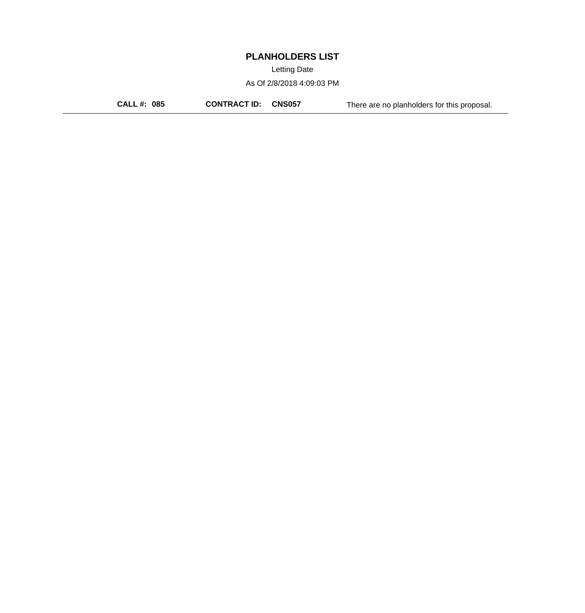Letting Date

As Of 2/8/2018 4:09:03 PM

**CALL #: 085 CONTRACT ID: CNS057** There are no planholders for this proposal.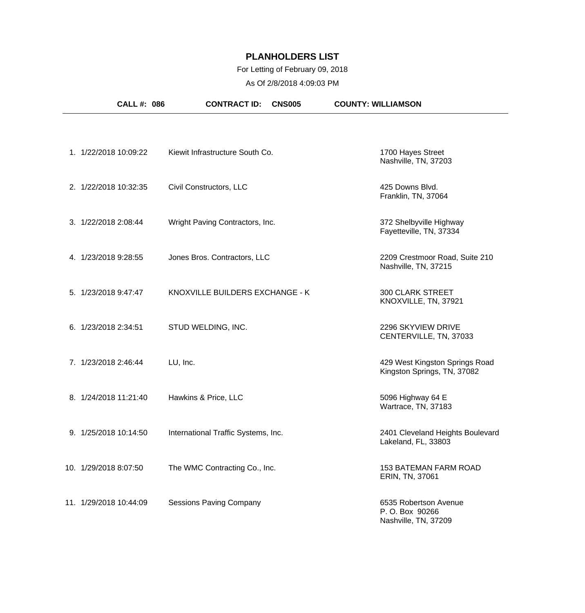### For Letting of February 09, 2018

| <b>CALL #: 086</b>     | <b>CONTRACT ID:</b><br><b>CNS005</b> | <b>COUNTY: WILLIAMSON</b>                                        |
|------------------------|--------------------------------------|------------------------------------------------------------------|
|                        |                                      |                                                                  |
| 1. 1/22/2018 10:09:22  | Kiewit Infrastructure South Co.      | 1700 Hayes Street<br>Nashville, TN, 37203                        |
| 2. 1/22/2018 10:32:35  | Civil Constructors, LLC              | 425 Downs Blvd.<br>Franklin, TN, 37064                           |
| 3. 1/22/2018 2:08:44   | Wright Paving Contractors, Inc.      | 372 Shelbyville Highway<br>Fayetteville, TN, 37334               |
| 4. 1/23/2018 9:28:55   | Jones Bros. Contractors, LLC         | 2209 Crestmoor Road, Suite 210<br>Nashville, TN, 37215           |
| 5. 1/23/2018 9:47:47   | KNOXVILLE BUILDERS EXCHANGE - K      | <b>300 CLARK STREET</b><br>KNOXVILLE, TN, 37921                  |
| 6. 1/23/2018 2:34:51   | STUD WELDING, INC.                   | 2296 SKYVIEW DRIVE<br>CENTERVILLE, TN, 37033                     |
| 7. 1/23/2018 2:46:44   | LU, Inc.                             | 429 West Kingston Springs Road<br>Kingston Springs, TN, 37082    |
| 8. 1/24/2018 11:21:40  | Hawkins & Price, LLC                 | 5096 Highway 64 E<br>Wartrace, TN, 37183                         |
| 9. 1/25/2018 10:14:50  | International Traffic Systems, Inc.  | 2401 Cleveland Heights Boulevard<br>Lakeland, FL, 33803          |
| 10. 1/29/2018 8:07:50  | The WMC Contracting Co., Inc.        | <b>153 BATEMAN FARM ROAD</b><br>ERIN, TN, 37061                  |
| 11. 1/29/2018 10:44:09 | <b>Sessions Paving Company</b>       | 6535 Robertson Avenue<br>P. O. Box 90266<br>Nashville, TN, 37209 |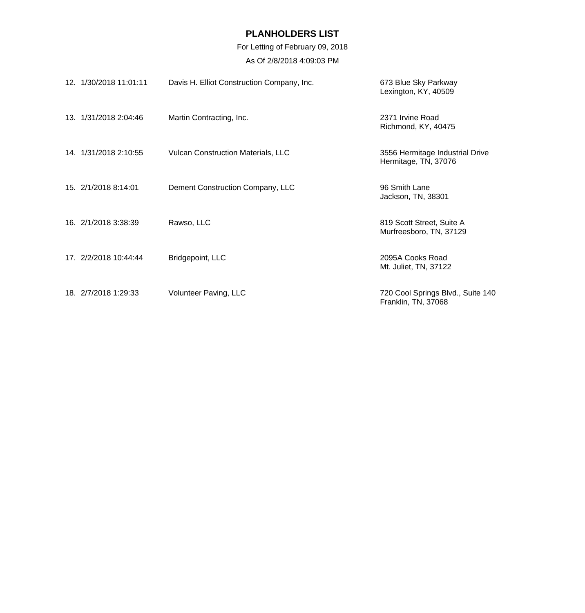For Letting of February 09, 2018

| 12. 1/30/2018 11:01:11 | Davis H. Elliot Construction Company, Inc. | 673 Blue Sky Parkway<br>Lexington, KY, 40509             |
|------------------------|--------------------------------------------|----------------------------------------------------------|
| 13. 1/31/2018 2:04:46  | Martin Contracting, Inc.                   | 2371 Irvine Road<br>Richmond, KY, 40475                  |
| 14. 1/31/2018 2:10:55  | <b>Vulcan Construction Materials, LLC</b>  | 3556 Hermitage Industrial Drive<br>Hermitage, TN, 37076  |
| 15. 2/1/2018 8:14:01   | Dement Construction Company, LLC           | 96 Smith Lane<br>Jackson, TN, 38301                      |
| 16. 2/1/2018 3:38:39   | Rawso, LLC                                 | 819 Scott Street, Suite A<br>Murfreesboro, TN, 37129     |
| 17. 2/2/2018 10:44:44  | Bridgepoint, LLC                           | 2095A Cooks Road<br>Mt. Juliet, TN, 37122                |
| 18. 2/7/2018 1:29:33   | Volunteer Paving, LLC                      | 720 Cool Springs Blvd., Suite 140<br>Franklin, TN, 37068 |